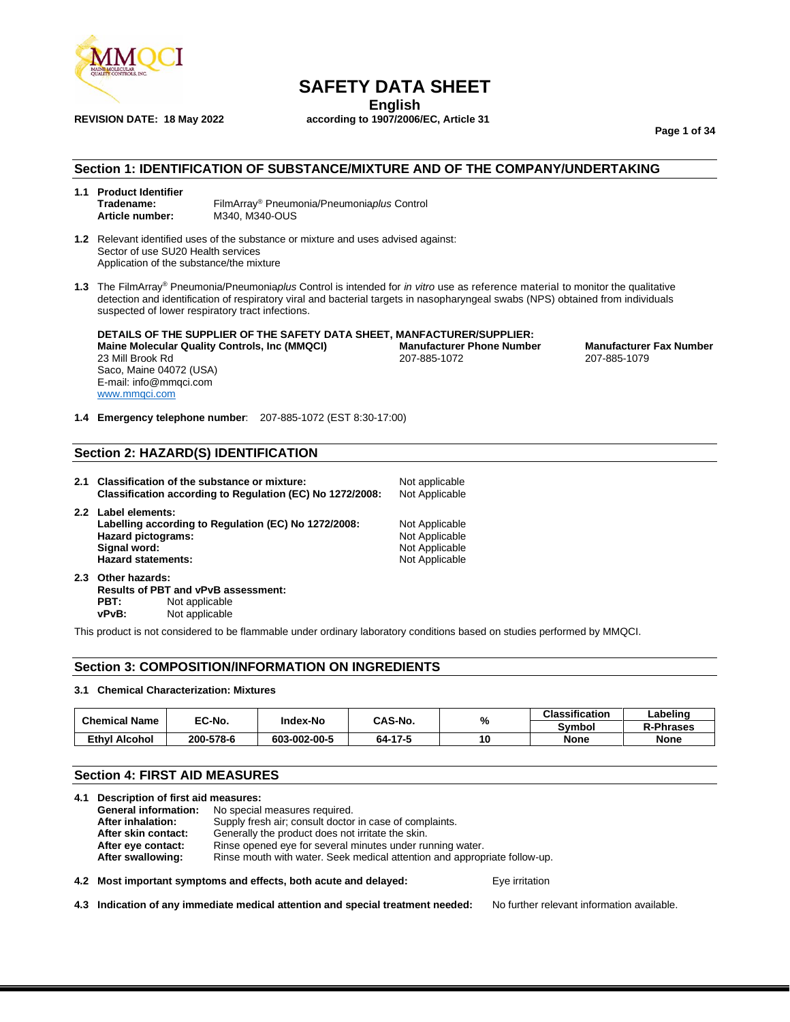

**REVISION DATE: 18 May 2022 according to 1907/2006/EC, Article 31**

## **SAFETY DATA SHEET**

**English**

**Page 1 of 34**

## **Section 1: IDENTIFICATION OF SUBSTANCE/MIXTURE AND OF THE COMPANY/UNDERTAKING**

#### **1.1 Product Identifier Tradename:** FilmArray® Pneumonia/Pneumonia*plus* Control **Article number:** M340, M340-OUS

- **1.2** Relevant identified uses of the substance or mixture and uses advised against: Sector of use SU20 Health services Application of the substance/the mixture
- **1.3** The FilmArray® Pneumonia/Pneumonia*plus* Control is intended for *in vitro* use as reference material to monitor the qualitative detection and identification of respiratory viral and bacterial targets in nasopharyngeal swabs (NPS) obtained from individuals suspected of lower respiratory tract infections.

**DETAILS OF THE SUPPLIER OF THE SAFETY DATA SHEET, MANFACTURER/SUPPLIER: Maine Molecular Quality Controls, Inc (MMQCI) Manufacturer Phone Number Manufacturer Fax Number** 23 Mill Brook Rd 207-885-1072 207-885-1079 Saco, Maine 04072 (USA) E-mail: info@mmqci.com [www.mmqci.com](http://www.mmqci.com/)

**1.4 Emergency telephone number**: 207-885-1072 (EST 8:30-17:00)

#### **Section 2: HAZARD(S) IDENTIFICATION**

- **2.1 Classification of the substance or mixture:** Not applicable **Classification according to Regulation (EC) No 1272/2008:** Not Applicable **2.2 Label elements:** Labelling according to Regulation (EC) No 1272/2008: Not Applicable Hazard pictograms: Not Applicable Not Applicable **Signal word:** Not Applicable Not Applicable Hazard statements: Not Applicable Not Applicable Not Applicable **Hazard statements: 2.3 Other hazards:**
- **Results of PBT and vPvB assessment:** Not applicable **vPvB:** Not applicable

This product is not considered to be flammable under ordinary laboratory conditions based on studies performed by MMQCI.

#### **Section 3: COMPOSITION/INFORMATION ON INGREDIENTS**

#### **3.1 Chemical Characterization: Mixtures**

| <b>Chemical Name</b> | EC-No.    | Index-No     | CAS-No. | % | <b>Classification</b> | ∟abelinc         |
|----------------------|-----------|--------------|---------|---|-----------------------|------------------|
|                      |           |              |         |   | Svmbol                | <b>R-Phrases</b> |
| Ethvl Alcohol        | 200-578-6 | 603-002-00-5 | 64-17-5 |   | <b>None</b>           | None             |

#### **Section 4: FIRST AID MEASURES**

|  | 4.1 Description of first aid measures: |                                                                           |  |  |
|--|----------------------------------------|---------------------------------------------------------------------------|--|--|
|  |                                        | <b>General information:</b> No special measures required.                 |  |  |
|  | After inhalation:                      | Supply fresh air; consult doctor in case of complaints.                   |  |  |
|  | After skin contact:                    | Generally the product does not irritate the skin.                         |  |  |
|  | After eye contact:                     | Rinse opened eye for several minutes under running water.                 |  |  |
|  | After swallowing:                      | Rinse mouth with water. Seek medical attention and appropriate follow-up. |  |  |
|  |                                        |                                                                           |  |  |

#### **4.2 Most important symptoms and effects, both acute and delayed:** Eye irritation

**4.3 Indication of any immediate medical attention and special treatment needed:** No further relevant information available.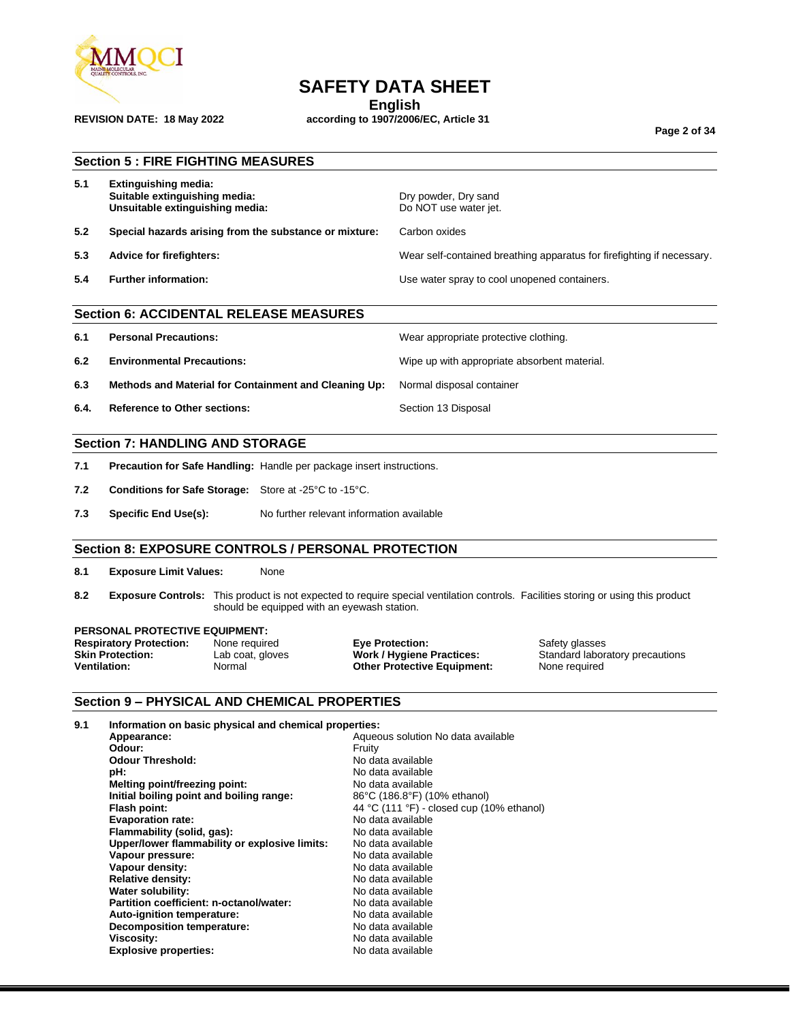

## **SAFETY DATA SHEET**

**English**

**REVISION DATE: 18 May 2022 according to 1907/2006/EC, Article 31**

**Page 2 of 34**

|      | <b>Section 5: FIRE FIGHTING MEASURES</b>                                                                                                                                                                                                                                                                                                                                                               |                        |                                                                                                                                                                                                                                                                                                              |                                                                        |  |
|------|--------------------------------------------------------------------------------------------------------------------------------------------------------------------------------------------------------------------------------------------------------------------------------------------------------------------------------------------------------------------------------------------------------|------------------------|--------------------------------------------------------------------------------------------------------------------------------------------------------------------------------------------------------------------------------------------------------------------------------------------------------------|------------------------------------------------------------------------|--|
| 5.1  | <b>Extinguishing media:</b><br>Suitable extinguishing media:<br>Unsuitable extinguishing media:                                                                                                                                                                                                                                                                                                        |                        | Dry powder, Dry sand<br>Do NOT use water jet.                                                                                                                                                                                                                                                                |                                                                        |  |
| 5.2  | Special hazards arising from the substance or mixture:                                                                                                                                                                                                                                                                                                                                                 |                        | Carbon oxides                                                                                                                                                                                                                                                                                                |                                                                        |  |
| 5.3  | <b>Advice for firefighters:</b>                                                                                                                                                                                                                                                                                                                                                                        |                        |                                                                                                                                                                                                                                                                                                              | Wear self-contained breathing apparatus for firefighting if necessary. |  |
| 5.4  | <b>Further information:</b>                                                                                                                                                                                                                                                                                                                                                                            |                        | Use water spray to cool unopened containers.                                                                                                                                                                                                                                                                 |                                                                        |  |
|      | <b>Section 6: ACCIDENTAL RELEASE MEASURES</b>                                                                                                                                                                                                                                                                                                                                                          |                        |                                                                                                                                                                                                                                                                                                              |                                                                        |  |
| 6.1  | <b>Personal Precautions:</b>                                                                                                                                                                                                                                                                                                                                                                           |                        | Wear appropriate protective clothing.                                                                                                                                                                                                                                                                        |                                                                        |  |
| 6.2  | <b>Environmental Precautions:</b>                                                                                                                                                                                                                                                                                                                                                                      |                        | Wipe up with appropriate absorbent material.                                                                                                                                                                                                                                                                 |                                                                        |  |
| 6.3  | Methods and Material for Containment and Cleaning Up:                                                                                                                                                                                                                                                                                                                                                  |                        | Normal disposal container                                                                                                                                                                                                                                                                                    |                                                                        |  |
| 6.4. | <b>Reference to Other sections:</b>                                                                                                                                                                                                                                                                                                                                                                    |                        | Section 13 Disposal                                                                                                                                                                                                                                                                                          |                                                                        |  |
|      | <b>Section 7: HANDLING AND STORAGE</b>                                                                                                                                                                                                                                                                                                                                                                 |                        |                                                                                                                                                                                                                                                                                                              |                                                                        |  |
| 7.1  | Precaution for Safe Handling: Handle per package insert instructions.                                                                                                                                                                                                                                                                                                                                  |                        |                                                                                                                                                                                                                                                                                                              |                                                                        |  |
| 7.2  | Conditions for Safe Storage: Store at -25°C to -15°C.                                                                                                                                                                                                                                                                                                                                                  |                        |                                                                                                                                                                                                                                                                                                              |                                                                        |  |
| 7.3  | No further relevant information available<br><b>Specific End Use(s):</b>                                                                                                                                                                                                                                                                                                                               |                        |                                                                                                                                                                                                                                                                                                              |                                                                        |  |
|      |                                                                                                                                                                                                                                                                                                                                                                                                        |                        |                                                                                                                                                                                                                                                                                                              |                                                                        |  |
|      | <b>Section 8: EXPOSURE CONTROLS / PERSONAL PROTECTION</b>                                                                                                                                                                                                                                                                                                                                              |                        |                                                                                                                                                                                                                                                                                                              |                                                                        |  |
| 8.1  | <b>Exposure Limit Values:</b><br>None                                                                                                                                                                                                                                                                                                                                                                  |                        |                                                                                                                                                                                                                                                                                                              |                                                                        |  |
| 8.2  | Exposure Controls: This product is not expected to require special ventilation controls. Facilities storing or using this product<br>should be equipped with an eyewash station.                                                                                                                                                                                                                       |                        |                                                                                                                                                                                                                                                                                                              |                                                                        |  |
|      | <b>PERSONAL PROTECTIVE EQUIPMENT:</b><br><b>Respiratory Protection:</b><br>None required<br><b>Skin Protection:</b><br>Lab coat, gloves<br><b>Ventilation:</b><br>Normal                                                                                                                                                                                                                               | <b>Eye Protection:</b> | <b>Work / Hygiene Practices:</b><br><b>Other Protective Equipment:</b>                                                                                                                                                                                                                                       | Safety glasses<br>Standard laboratory precautions<br>None required     |  |
|      | <b>Section 9 - PHYSICAL AND CHEMICAL PROPERTIES</b>                                                                                                                                                                                                                                                                                                                                                    |                        |                                                                                                                                                                                                                                                                                                              |                                                                        |  |
| 9.1  | Information on basic physical and chemical properties:<br>Appearance:<br>Odour:<br>Fruity<br><b>Odour Threshold:</b><br>pH:<br>Melting point/freezing point:<br>Initial boiling point and boiling range:<br>Flash point:<br><b>Evaporation rate:</b><br>Flammability (solid, gas):<br>Upper/lower flammability or explosive limits:<br>Vapour pressure:<br>Vapour density:<br><b>Relative density:</b> |                        | Aqueous solution No data available<br>No data available<br>No data available<br>No data available<br>86°C (186.8°F) (10% ethanol)<br>44 °C (111 °F) - closed cup (10% ethanol)<br>No data available<br>No data available<br>No data available<br>No data available<br>No data available<br>No data available |                                                                        |  |

**Viscosity:** No data available

**Relative density:**<br> **We density:**<br> **Water solubility:**<br> **Water solubility:**<br> **We data available Water solubility:** No data available<br> **Partition coefficient: n-octanol/water:** No data available **Partition coefficient: n-octanol/water:** No data available<br> **Auto-ignition temperature:** No data available **Auto-ignition temperature:** No data available<br> **Decomposition temperature:** No data available

**Decomposition temperature:**<br>Viscosity:

**Explosive properties:**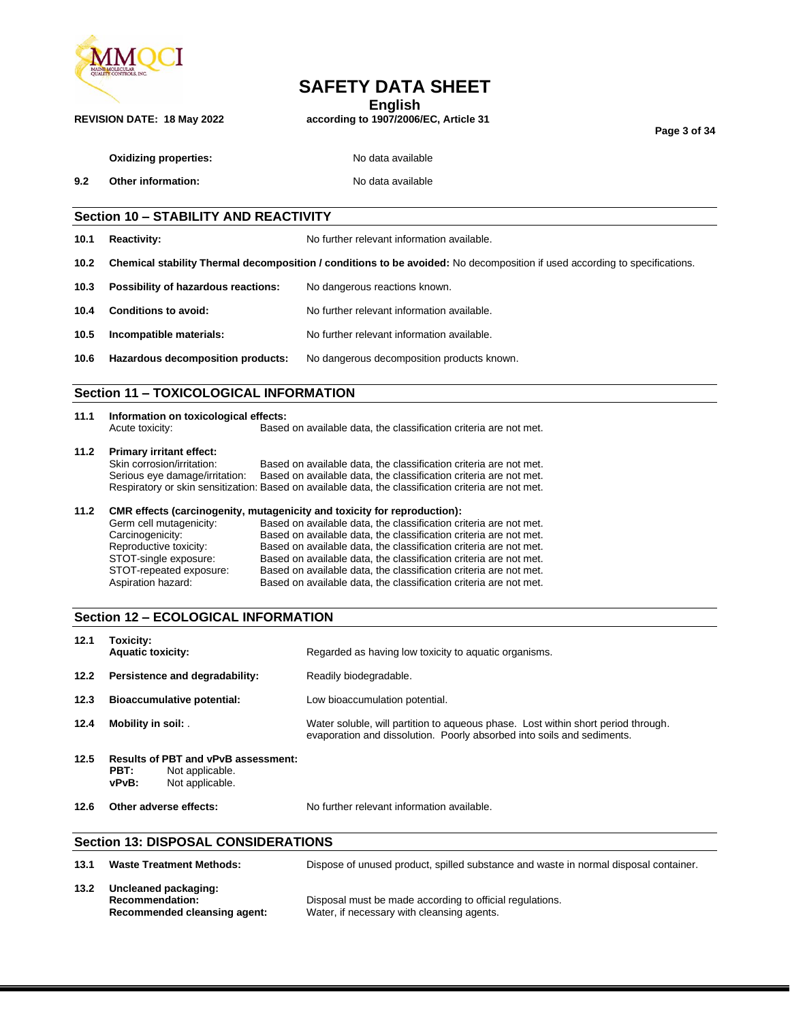

## **SAFETY DATA SHEET**

**English**

**REVISION DATE: 18 May 2022 according to 1907/2006/EC, Article 31**

**Page 3 of 34**

| <b>Oxidizing properties:</b> |
|------------------------------|
|                              |

**Oxidizing properties:** No data available

**9.2 Other information:** No data available

### **Section 10 – STABILITY AND REACTIVITY**

**10.1 Reactivity:** No further relevant information available.

**10.2 Chemical stability Thermal decomposition / conditions to be avoided:** No decomposition if used according to specifications.

| No dangerous reactions known.<br><b>Possibility of hazardous reactions:</b><br>10.3 |  |
|-------------------------------------------------------------------------------------|--|
|-------------------------------------------------------------------------------------|--|

| 10.4 | <b>Conditions to avoid:</b> | No further relevant information available. |
|------|-----------------------------|--------------------------------------------|
| 10.5 | Incompatible materials:     | No further relevant information available. |
|      |                             |                                            |

## **10.6 Hazardous decomposition products:** No dangerous decomposition products known.

## **Section 11 – TOXICOLOGICAL INFORMATION**

| 11.1 | Information on toxicological effects: |                                                                   |  |  |
|------|---------------------------------------|-------------------------------------------------------------------|--|--|
|      | Acute toxicity:                       | Based on available data, the classification criteria are not met. |  |  |

## **11.2 Primary irritant effect:**

Based on available data, the classification criteria are not met. Serious eye damage/irritation: Based on available data, the classification criteria are not met. Respiratory or skin sensitization: Based on available data, the classification criteria are not met.

#### **11.2 CMR effects (carcinogenity, mutagenicity and toxicity for reproduction):**

| Germ cell mutagenicity: | Based on available data, the classification criteria are not met. |
|-------------------------|-------------------------------------------------------------------|
| Carcinogenicity:        | Based on available data, the classification criteria are not met. |
| Reproductive toxicity:  | Based on available data, the classification criteria are not met. |
| STOT-single exposure:   | Based on available data, the classification criteria are not met. |
| STOT-repeated exposure: | Based on available data, the classification criteria are not met. |
| Aspiration hazard:      | Based on available data, the classification criteria are not met. |

### **Section 12 – ECOLOGICAL INFORMATION**

| 12.1 | Toxicity:<br><b>Aquatic toxicity:</b>                                                             | Regarded as having low toxicity to aquatic organisms.                                                                                                       |  |  |
|------|---------------------------------------------------------------------------------------------------|-------------------------------------------------------------------------------------------------------------------------------------------------------------|--|--|
| 12.2 | Persistence and degradability:                                                                    | Readily biodegradable.                                                                                                                                      |  |  |
| 12.3 | <b>Bioaccumulative potential:</b>                                                                 | Low bioaccumulation potential.                                                                                                                              |  |  |
| 12.4 | Mobility in soil:                                                                                 | Water soluble, will partition to agueous phase. Lost within short period through.<br>evaporation and dissolution. Poorly absorbed into soils and sediments. |  |  |
| 12.5 | <b>Results of PBT and vPvB assessment:</b><br>PBT:<br>Not applicable.<br>Not applicable.<br>vPvB: |                                                                                                                                                             |  |  |
| 12.6 | Other adverse effects:                                                                            | No further relevant information available.                                                                                                                  |  |  |
|      | <b>Section 13: DISPOSAL CONSIDERATIONS</b>                                                        |                                                                                                                                                             |  |  |

| 13.1 | <b>Waste Treatment Methods:</b>                                                | Dispose of unused product, spilled substance and waste in normal disposal container.                   |
|------|--------------------------------------------------------------------------------|--------------------------------------------------------------------------------------------------------|
| 13.2 | Uncleaned packaging:<br><b>Recommendation:</b><br>Recommended cleansing agent: | Disposal must be made according to official regulations.<br>Water, if necessary with cleansing agents. |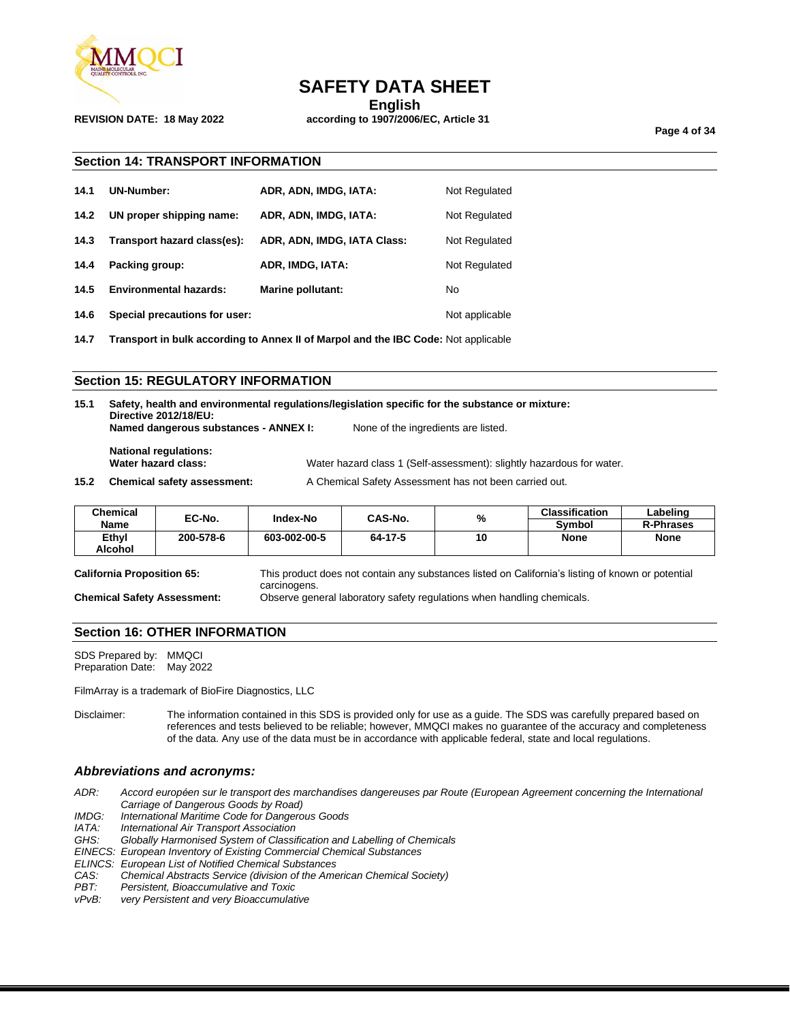

## **SAFETY DATA SHEET**

**English**

**REVISION DATE: 18 May 2022 according to 1907/2006/EC, Article 31**

**Page 4 of 34**

#### **Section 14: TRANSPORT INFORMATION**

| 14.1 | <b>UN-Number:</b>             | ADR, ADN, IMDG, IATA:       | Not Regulated  |
|------|-------------------------------|-----------------------------|----------------|
| 14.2 | UN proper shipping name:      | ADR, ADN, IMDG, IATA:       | Not Regulated  |
| 14.3 | Transport hazard class(es):   | ADR, ADN, IMDG, IATA Class: | Not Regulated  |
| 14.4 | Packing group:                | ADR, IMDG, IATA:            | Not Regulated  |
| 14.5 | <b>Environmental hazards:</b> | <b>Marine pollutant:</b>    | No             |
| 14.6 | Special precautions for user: |                             | Not applicable |

**14.7 Transport in bulk according to Annex II of Marpol and the IBC Code:** Not applicable

#### **Section 15: REGULATORY INFORMATION**

| 15.1 | Safety, health and environmental regulations/legislation specific for the substance or mixture:<br>Directive 2012/18/EU:     |  |                                     |  |
|------|------------------------------------------------------------------------------------------------------------------------------|--|-------------------------------------|--|
|      | Named dangerous substances - ANNEX I:                                                                                        |  | None of the ingredients are listed. |  |
|      | <b>National regulations:</b><br>Water hazard class:<br>Water hazard class 1 (Self-assessment): slightly hazardous for water. |  |                                     |  |
|      | $\mathbf{A} = \mathbf{A} \mathbf{A}$                                                                                         |  |                                     |  |

**15.2 Chemical safety assessment:** A Chemical Safety Assessment has not been carried out.

| Chemical | EC-No.    | Index-No     | CAS-No. | %  | <b>Classification</b> | Labeling         |
|----------|-----------|--------------|---------|----|-----------------------|------------------|
| Name     |           |              |         |    | Symbol                | <b>R-Phrases</b> |
| Ethyl    | 200-578-6 | 603-002-00-5 | 64-17-5 | 10 | <b>None</b>           | <b>None</b>      |
| Alcohol  |           |              |         |    |                       |                  |

**California Proposition 65:** This product does not contain any substances listed on California's listing of known or potential carcinogens. **Chemical Safety Assessment:** Observe general laboratory safety regulations when handling chemicals.

**Section 16: OTHER INFORMATION**

SDS Prepared by: MMQCI Preparation Date: May 2022

FilmArray is a trademark of BioFire Diagnostics, LLC

Disclaimer: The information contained in this SDS is provided only for use as a guide. The SDS was carefully prepared based on references and tests believed to be reliable; however, MMQCI makes no guarantee of the accuracy and completeness of the data. Any use of the data must be in accordance with applicable federal, state and local regulations.

## *Abbreviations and acronyms:*

- *ADR: Accord européen sur le transport des marchandises dangereuses par Route (European Agreement concerning the International Carriage of Dangerous Goods by Road)*
- *IMDG: International Maritime Code for Dangerous Goods*

- *IATA: International Air Transport Association* Globally Harmonised System of Classification and Labelling of Chemicals
- *EINECS: European Inventory of Existing Commercial Chemical Substances*
- *ELINCS: European List of Notified Chemical Substances*
- *CAS: Chemical Abstracts Service (division of the American Chemical Society)*
- *PBT: Persistent, Bioaccumulative and Toxic*

*vPvB: very Persistent and very Bioaccumulative*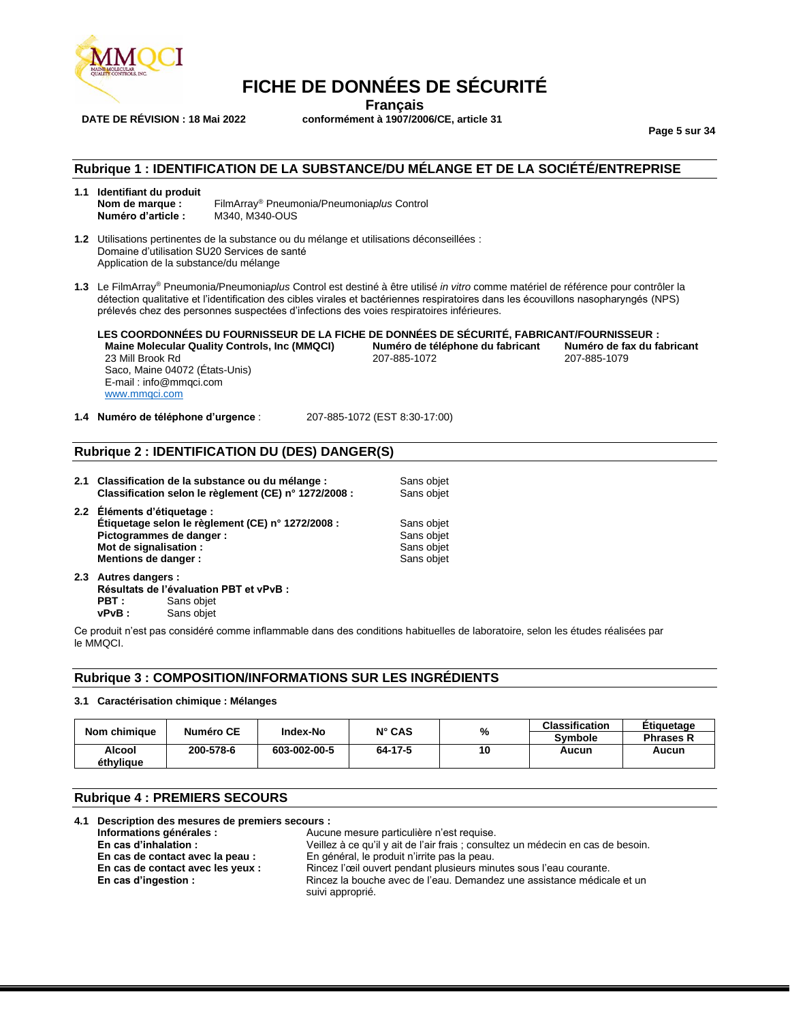

**Français DATE DE RÉVISION : 18 Mai 2022 conformément à 1907/2006/CE, article 31**

**FICHE DE DONNÉES DE SÉCURITÉ**

**Page 5 sur 34**

### **Rubrique 1 : IDENTIFICATION DE LA SUBSTANCE/DU MÉLANGE ET DE LA SOCIÉTÉ/ENTREPRISE**

- **1.1 Identifiant du produit Nom de marque :** FilmArray® Pneumonia/Pneumonia*plus* Control **Numéro d'article :** M340, M340-OUS
- **1.2** Utilisations pertinentes de la substance ou du mélange et utilisations déconseillées : Domaine d'utilisation SU20 Services de santé Application de la substance/du mélange
- **1.3** Le FilmArray® Pneumonia/Pneumonia*plus* Control est destiné à être utilisé *in vitro* comme matériel de référence pour contrôler la détection qualitative et l'identification des cibles virales et bactériennes respiratoires dans les écouvillons nasopharyngés (NPS) prélevés chez des personnes suspectées d'infections des voies respiratoires inférieures.

**LES COORDONNÉES DU FOURNISSEUR DE LA FICHE DE DONNÉES DE SÉCURITÉ, FABRICANT/FOURNISSEUR : Maine Molecular Quality Controls, Inc (MMQCI) Numéro de téléphone du fabricant Numéro de fax du fabricant** 23 Mill Brook Rd 207-885-1072 207-885-1079 Saco, Maine 04072 (États-Unis) E-mail : info@mmqci.com [www.mmqci.com](http://www.mmqci.com/)

**1.4 Numéro de téléphone d'urgence** : 207-885-1072 (EST 8:30-17:00)

#### **Rubrique 2 : IDENTIFICATION DU (DES) DANGER(S)**

**2.1 Classification de la substance ou du mélange :** Sans objet **Classification selon le règlement (CE) n° 1272/2008 :** Sans objet **2.2 Éléments d'étiquetage : Étiquetage selon le règlement (CE) n° 1272/2008 :** Sans objet **Pictogrammes de danger :** Sans objet **Sans objet in the Sans objet of the Sans objet in the Sans objet in the Sans objet in the Sans objet in the Sans objet in the Sans objet in the Sans objet in the Sans objet in the San Mot de signalisation : Sans objet (Sans objet) and Sans objet (Sans objet of Sans objet of Sans objet of Sans objet of Sans objet of Sans objet of Sans objet of Sans objet of Sans objet of Sans objet of Sans objet of Sans Mentions de danger :** 

**2.3 Autres dangers : Résultats de l'évaluation PBT et vPvB : PBT :** Sans objet **vPvB :** Sans objet

Ce produit n'est pas considéré comme inflammable dans des conditions habituelles de laboratoire, selon les études réalisées par le MMQCI.

#### **Rubrique 3 : COMPOSITION/INFORMATIONS SUR LES INGRÉDIENTS**

#### **3.1 Caractérisation chimique : Mélanges**

| Nom chimique        | Numéro CE | Index-No     | $N^{\circ}$ CAS | %  | <b>Classification</b><br><b>Symbole</b> | Etiquetage<br><b>Phrases R</b> |
|---------------------|-----------|--------------|-----------------|----|-----------------------------------------|--------------------------------|
| Alcool<br>éthvlique | 200-578-6 | 603-002-00-5 | 64-17-5         | 10 | Aucun                                   | Aucun                          |

#### **Rubrique 4 : PREMIERS SECOURS**

|  | 4.1 Description des mesures de premiers secours : |                                                                                            |
|--|---------------------------------------------------|--------------------------------------------------------------------------------------------|
|  | Informations générales :                          | Aucune mesure particulière n'est requise.                                                  |
|  | En cas d'inhalation :                             | Veillez à ce qu'il y ait de l'air frais ; consultez un médecin en cas de besoin.           |
|  | En cas de contact avec la peau :                  | En général, le produit n'irrite pas la peau.                                               |
|  | En cas de contact avec les yeux :                 | Rincez l'œil ouvert pendant plusieurs minutes sous l'eau courante.                         |
|  | En cas d'ingestion :                              | Rincez la bouche avec de l'eau. Demandez une assistance médicale et un<br>suivi approprié. |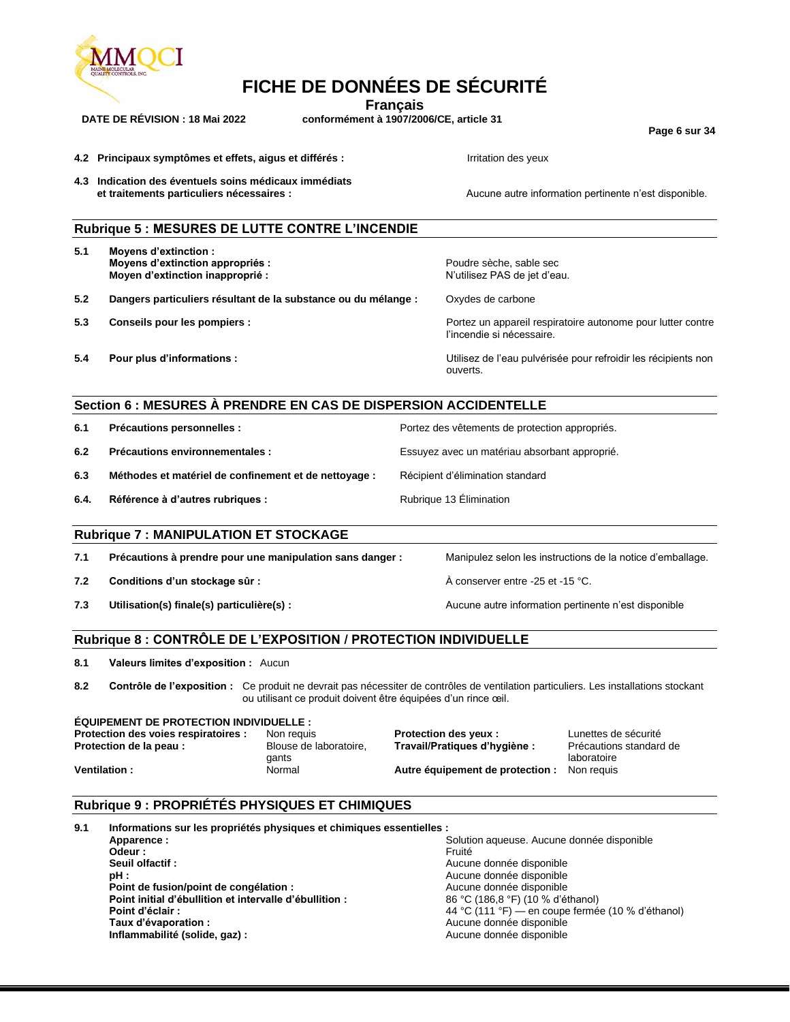

**Français**

**DATE DE RÉVISION : 18 Mai 2022 conformément à 1907/2006/CE, article 31**

**Page 6 sur 34**

**4.2 Principaux symptômes et effets, aigus et différés : Irritation des yeux** 

**4.3 Indication des éventuels soins médicaux immédiats** 

Aucune autre information pertinente n'est disponible.

|      | Rubrique 5 : MESURES DE LUTTE CONTRE L'INCENDIE                                                                                         |                                                               |                                                                                            |                                                                              |
|------|-----------------------------------------------------------------------------------------------------------------------------------------|---------------------------------------------------------------|--------------------------------------------------------------------------------------------|------------------------------------------------------------------------------|
| 5.1  | <b>Moyens d'extinction:</b><br>Moyens d'extinction appropriés :<br>Moyen d'extinction inapproprié :                                     |                                                               | Poudre sèche, sable sec<br>N'utilisez PAS de jet d'eau.                                    |                                                                              |
| 5.2  | Dangers particuliers résultant de la substance ou du mélange :                                                                          |                                                               | Oxydes de carbone                                                                          |                                                                              |
| 5.3  | Conseils pour les pompiers :                                                                                                            |                                                               | l'incendie si nécessaire.                                                                  | Portez un appareil respiratoire autonome pour lutter contre                  |
| 5.4  | Pour plus d'informations :                                                                                                              |                                                               | ouverts.                                                                                   | Utilisez de l'eau pulvérisée pour refroidir les récipients non               |
|      | Section 6 : MESURES À PRENDRE EN CAS DE DISPERSION ACCIDENTELLE                                                                         |                                                               |                                                                                            |                                                                              |
| 6.1  | Précautions personnelles :                                                                                                              |                                                               | Portez des vêtements de protection appropriés.                                             |                                                                              |
| 6.2  | Précautions environnementales :                                                                                                         |                                                               | Essuyez avec un matériau absorbant approprié.                                              |                                                                              |
| 6.3  | Méthodes et matériel de confinement et de nettoyage :                                                                                   |                                                               | Récipient d'élimination standard                                                           |                                                                              |
|      |                                                                                                                                         |                                                               |                                                                                            |                                                                              |
| 6.4. | Référence à d'autres rubriques :                                                                                                        |                                                               | Rubrique 13 Elimination                                                                    |                                                                              |
|      | <b>Rubrique 7: MANIPULATION ET STOCKAGE</b>                                                                                             |                                                               |                                                                                            |                                                                              |
| 7.1  | Précautions à prendre pour une manipulation sans danger :                                                                               |                                                               |                                                                                            | Manipulez selon les instructions de la notice d'emballage.                   |
| 7.2  | Conditions d'un stockage sûr :                                                                                                          |                                                               | A conserver entre -25 et -15 °C.                                                           |                                                                              |
| 7.3  | Utilisation(s) finale(s) particulière(s) :                                                                                              |                                                               |                                                                                            | Aucune autre information pertinente n'est disponible                         |
|      | Rubrique 8 : CONTRÔLE DE L'EXPOSITION / PROTECTION INDIVIDUELLE                                                                         |                                                               |                                                                                            |                                                                              |
| 8.1  | Valeurs limites d'exposition : Aucun                                                                                                    |                                                               |                                                                                            |                                                                              |
| 8.2  | Contrôle de l'exposition : Ce produit ne devrait pas nécessiter de contrôles de ventilation particuliers. Les installations stockant    | ou utilisant ce produit doivent être équipées d'un rince œil. |                                                                                            |                                                                              |
|      | <b>ÉQUIPEMENT DE PROTECTION INDIVIDUELLE:</b><br>Protection des voies respiratoires :<br>Protection de la peau :<br><b>Ventilation:</b> | Non requis<br>Blouse de laboratoire,<br>gants<br>Normal       | Protection des yeux :<br>Travail/Pratiques d'hygiène :<br>Autre équipement de protection : | Lunettes de sécurité<br>Précautions standard de<br>laboratoire<br>Non requis |

## **Rubrique 9 : PROPRIÉTÉS PHYSIQUES ET CHIMIQUES**

| 9.1 | Informations sur les propriétés physiques et chimiques essentielles : |                                                   |  |  |  |  |  |
|-----|-----------------------------------------------------------------------|---------------------------------------------------|--|--|--|--|--|
|     | Apparence:                                                            | Solution aqueuse. Aucune donnée disponible        |  |  |  |  |  |
|     | Odeur :                                                               | Fruité                                            |  |  |  |  |  |
|     | Seuil olfactif:                                                       | Aucune donnée disponible                          |  |  |  |  |  |
|     | pH :                                                                  | Aucune donnée disponible                          |  |  |  |  |  |
|     | Point de fusion/point de congélation :                                | Aucune donnée disponible                          |  |  |  |  |  |
|     | Point initial d'ébullition et intervalle d'ébullition :               | 86 °C (186,8 °F) (10 % d'éthanol)                 |  |  |  |  |  |
|     | Point d'éclair :                                                      | 44 °C (111 °F) — en coupe fermée (10 % d'éthanol) |  |  |  |  |  |
|     | Taux d'évaporation :                                                  | Aucune donnée disponible                          |  |  |  |  |  |
|     | Inflammabilité (solide, gaz) :                                        | Aucune donnée disponible                          |  |  |  |  |  |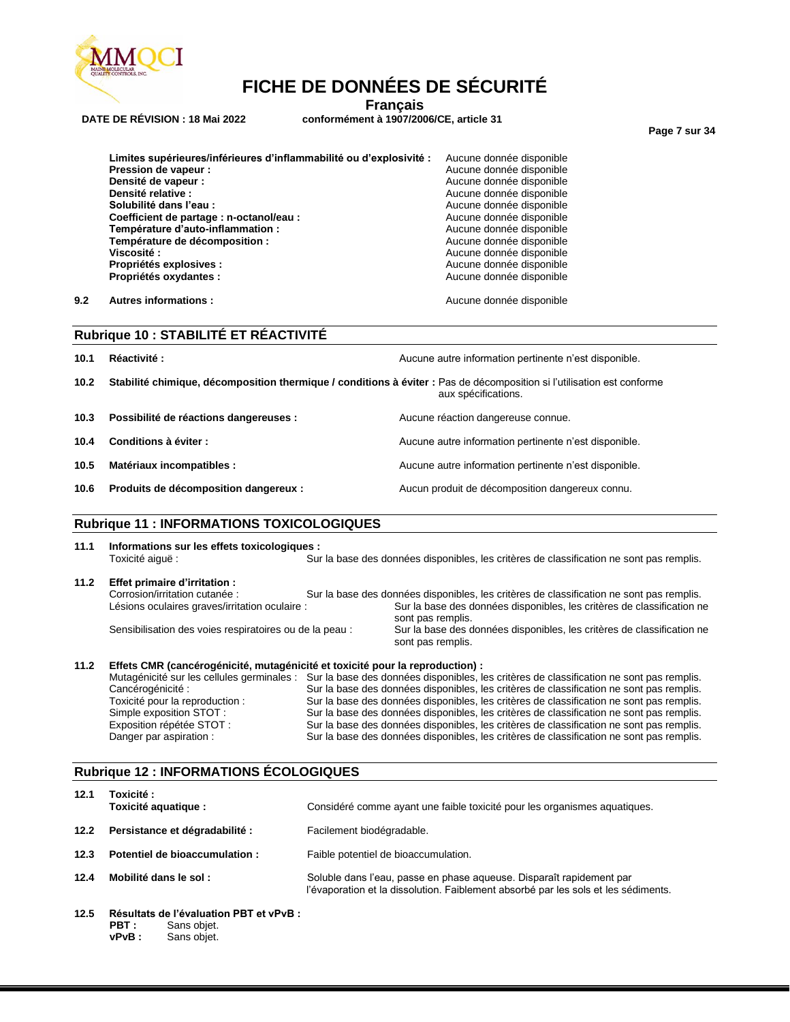

**Français**

**DATE DE RÉVISION : 18 Mai 2022 conformément à 1907/2006/CE, article 31**

**Page 7 sur 34**

| Limites supérieures/inférieures d'inflammabilité ou d'explosivité : | Aucune donnée disponible |
|---------------------------------------------------------------------|--------------------------|
| Pression de vapeur :                                                | Aucune donnée disponible |
| Densité de vapeur :                                                 | Aucune donnée disponible |
| Densité relative :                                                  | Aucune donnée disponible |
| Solubilité dans l'eau :                                             | Aucune donnée disponible |
| Coefficient de partage : n-octanol/eau :                            | Aucune donnée disponible |
| Température d'auto-inflammation :                                   | Aucune donnée disponible |
| Température de décomposition :                                      | Aucune donnée disponible |
| Viscosité :                                                         | Aucune donnée disponible |
| Propriétés explosives :                                             | Aucune donnée disponible |
| Propriétés oxydantes :                                              | Aucune donnée disponible |
|                                                                     |                          |

**9.2 Autres informations : Aucune donnée disponible Aucune donnée disponible** 

|      | Rubrique 10 : STABILITÉ ET RÉACTIVITÉ                                                                                  |  |                                                       |  |  |  |
|------|------------------------------------------------------------------------------------------------------------------------|--|-------------------------------------------------------|--|--|--|
| 10.1 | Réactivité:                                                                                                            |  | Aucune autre information pertinente n'est disponible. |  |  |  |
| 10.2 | Stabilité chimique, décomposition thermique / conditions à éviter : Pas de décomposition si l'utilisation est conforme |  | aux spécifications.                                   |  |  |  |
| 10.3 | Possibilité de réactions dangereuses :                                                                                 |  | Aucune réaction dangereuse connue.                    |  |  |  |
| 10.4 | Conditions à éviter :                                                                                                  |  | Aucune autre information pertinente n'est disponible. |  |  |  |
| 10.5 | Matériaux incompatibles :                                                                                              |  | Aucune autre information pertinente n'est disponible. |  |  |  |
| 10.6 | Produits de décomposition dangereux :                                                                                  |  | Aucun produit de décomposition dangereux connu.       |  |  |  |

### **Rubrique 11 : INFORMATIONS TOXICOLOGIQUES**

## **11.1 Informations sur les effets toxicologiques :**

Sur la base des données disponibles, les critères de classification ne sont pas remplis. **11.2 Effet primaire d'irritation :** Sur la base des données disponibles, les critères de classification ne sont pas remplis. Lésions oculaires graves/irritation oculaire : Sur la base des données disponibles, les critères de classification ne sont pas remplis. Sensibilisation des voies respiratoires ou de la peau : Sur la base des données disponibles, les critères de classification ne

sont pas remplis.

#### **11.2 Effets CMR (cancérogénicité, mutagénicité et toxicité pour la reproduction) :**

Mutagénicité sur les cellules germinales : Sur la base des données disponibles, les critères de classification ne sont pas remplis.<br>Cancérogénicité : Sur la base des données disponibles, les critères de classification ne s Sur la base des données disponibles, les critères de classification ne sont pas remplis. Toxicité pour la reproduction : Sur la base des données disponibles, les critères de classification ne sont pas remplis.<br>Simple exposition STOT : Sur la base des données disponibles, les critères de classification ne sont Sur la base des données disponibles, les critères de classification ne sont pas remplis. Exposition répétée STOT : Sur la base des données disponibles, les critères de classification ne sont pas remplis.<br>Danger par aspiration : Sur la base des données disponibles, les critères de classification ne sont pas rem Sur la base des données disponibles, les critères de classification ne sont pas remplis.

#### **Rubrique 12 : INFORMATIONS ÉCOLOGIQUES**

| 12.1 | Toxicité :<br>Toxicité aquatique :      | Considéré comme ayant une faible toxicité pour les organismes aquatiques.                                                                                  |
|------|-----------------------------------------|------------------------------------------------------------------------------------------------------------------------------------------------------------|
| 12.2 | Persistance et dégradabilité :          | Facilement biodégradable.                                                                                                                                  |
| 12.3 | Potentiel de bioaccumulation:           | Faible potentiel de bioaccumulation.                                                                                                                       |
| 12.4 | Mobilité dans le sol :                  | Soluble dans l'eau, passe en phase aqueuse. Disparaît rapidement par<br>l'évaporation et la dissolution. Faiblement absorbé par les sols et les sédiments. |
| 12.5 | Résultats de l'évaluation PBT et vPvB : |                                                                                                                                                            |

**PBT :** Sans objet. **vPvB :** Sans objet.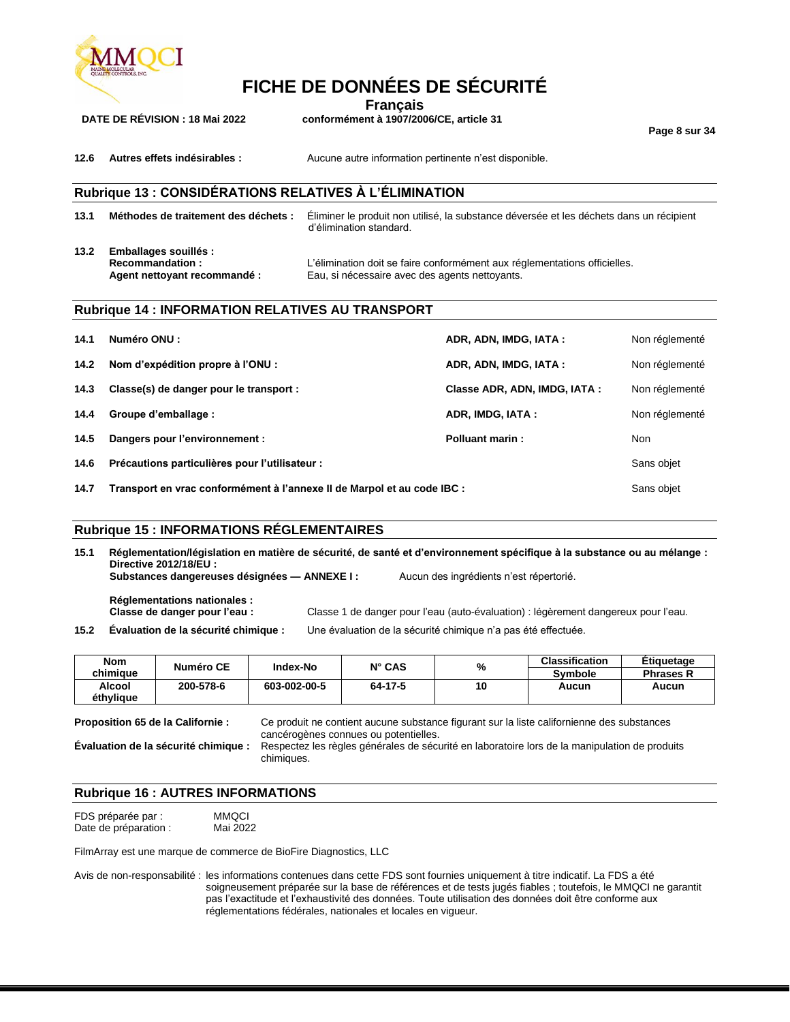

**Français**

**DATE DE RÉVISION : 18 Mai 2022 conformément à 1907/2006/CE, article 31**

**Page 8 sur 34**

**12.6 Autres effets indésirables :** Aucune autre information pertinente n'est disponible.

## **Rubrique 13 : CONSIDÉRATIONS RELATIVES À L'ÉLIMINATION**

**13.1 Méthodes de traitement des déchets :** Éliminer le produit non utilisé, la substance déversée et les déchets dans un récipient d'élimination standard.

**13.2 Emballages souillés :**

**Recommandation :** L'élimination doit se faire conformément aux réglementations officielles. **Agent nettoyant recommandé :** Eau, si nécessaire avec des agents nettoyants.

#### **Rubrique 14 : INFORMATION RELATIVES AU TRANSPORT**

| 14.1 | Numéro ONU :                                                            | ADR, ADN, IMDG, IATA:        | Non réglementé |
|------|-------------------------------------------------------------------------|------------------------------|----------------|
| 14.2 | Nom d'expédition propre à l'ONU :                                       | ADR, ADN, IMDG, IATA:        | Non réglementé |
| 14.3 | Classe(s) de danger pour le transport :                                 | Classe ADR, ADN, IMDG, IATA: | Non réglementé |
| 14.4 | Groupe d'emballage :                                                    | ADR, IMDG, IATA:             | Non réglementé |
| 14.5 | Dangers pour l'environnement :                                          | Polluant marin:              | Non            |
| 14.6 | Précautions particulières pour l'utilisateur :                          |                              | Sans objet     |
| 14.7 | Transport en vrac conformément à l'annexe II de Marpol et au code IBC : |                              |                |

#### **Rubrique 15 : INFORMATIONS RÉGLEMENTAIRES**

**15.1 Réglementation/législation en matière de sécurité, de santé et d'environnement spécifique à la substance ou au mélange : Directive 2012/18/EU : Substances dangereuses désignées — ANNEXE I :** Aucun des ingrédients n'est répertorié. **Réglementations nationales : Classe de danger pour l'eau :** Classe 1 de danger pour l'eau (auto-évaluation) : légèrement dangereux pour l'eau.

**15.2 Évaluation de la sécurité chimique :** Une évaluation de la sécurité chimique n'a pas été effectuée.

| <b>Nom</b> | Numéro CE | Index-No     | $N^{\circ}$ CAS | %  | <b>Classification</b> | Etiquetage       |
|------------|-----------|--------------|-----------------|----|-----------------------|------------------|
| chimiaue   |           |              |                 |    | <b>Symbole</b>        | <b>Phrases R</b> |
| Alcool     | 200-578-6 | 603-002-00-5 | 64-17-5         | 10 | Aucun                 | Aucun            |
| éthylique  |           |              |                 |    |                       |                  |

**Proposition 65 de la Californie :** Ce produit ne contient aucune substance figurant sur la liste californienne des substances cancérogènes connues ou potentielles.

**Évaluation de la sécurité chimique :** Respectez les règles générales de sécurité en laboratoire lors de la manipulation de produits chimiques.

#### **Rubrique 16 : AUTRES INFORMATIONS**

FDS préparée par : MMQCI<br>Date de préparation : Mai 2022 Date de préparation :

FilmArray est une marque de commerce de BioFire Diagnostics, LLC

Avis de non-responsabilité : les informations contenues dans cette FDS sont fournies uniquement à titre indicatif. La FDS a été soigneusement préparée sur la base de références et de tests jugés fiables ; toutefois, le MMQCI ne garantit pas l'exactitude et l'exhaustivité des données. Toute utilisation des données doit être conforme aux réglementations fédérales, nationales et locales en vigueur.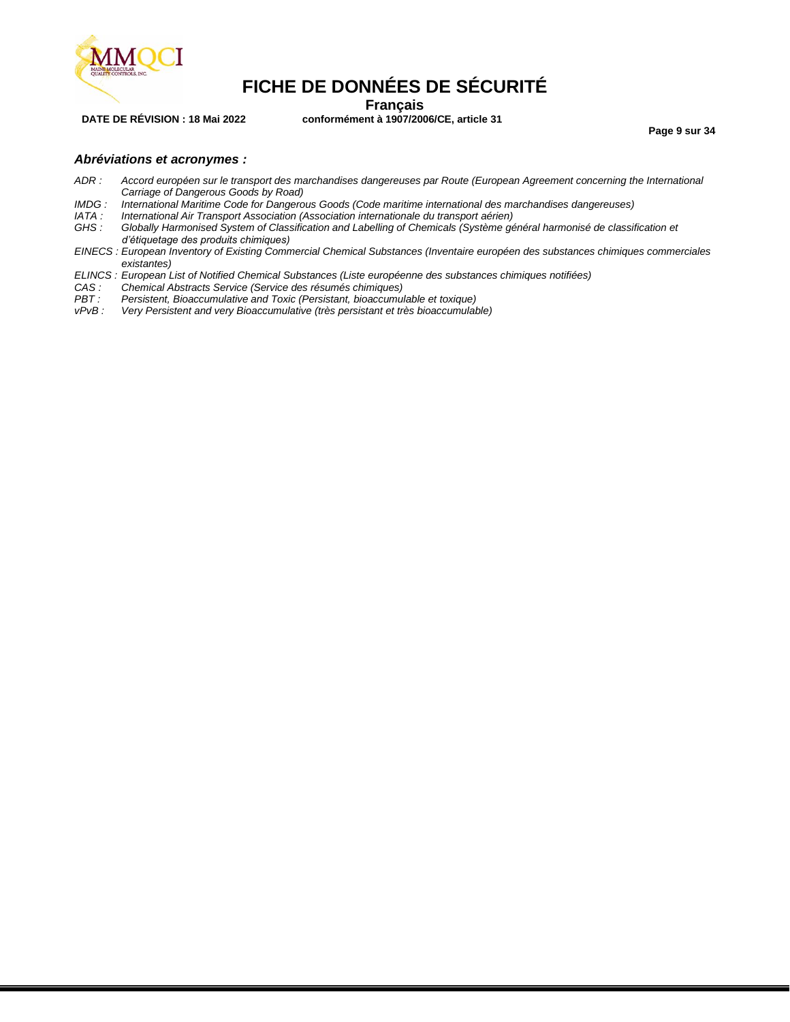

**Français**

**DATE DE RÉVISION : 18 Mai 2022 conformément à 1907/2006/CE, article 31**

**Page 9 sur 34**

#### *Abréviations et acronymes :*

- *ADR : Accord européen sur le transport des marchandises dangereuses par Route (European Agreement concerning the International Carriage of Dangerous Goods by Road)*
- *IMDG : International Maritime Code for Dangerous Goods (Code maritime international des marchandises dangereuses)*
- *IATA : International Air Transport Association (Association internationale du transport aérien)*
- Globally Harmonised System of Classification and Labelling of Chemicals (Système général harmonisé de classification et *d'étiquetage des produits chimiques)*
- *EINECS : European Inventory of Existing Commercial Chemical Substances (Inventaire européen des substances chimiques commerciales existantes)*
- *ELINCS : European List of Notified Chemical Substances (Liste européenne des substances chimiques notifiées)*
- *CAS : Chemical Abstracts Service (Service des résumés chimiques)*
- *PBT : Persistent, Bioaccumulative and Toxic (Persistant, bioaccumulable et toxique)*
- Very Persistent and very Bioaccumulative (très persistant et très bioaccumulable)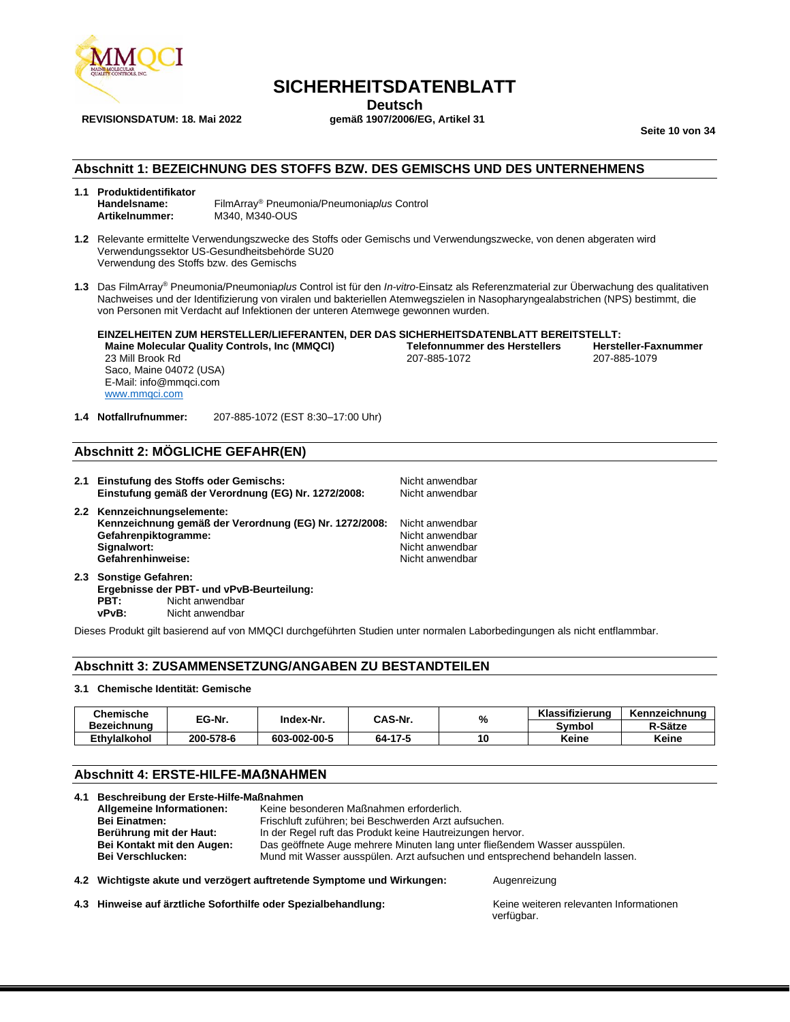

## **SICHERHEITSDATENBLATT**

**Deutsch**<br>gemäß 1907/2006/EG, Artikel 31

**Seite 10 von 34**

#### **Abschnitt 1: BEZEICHNUNG DES STOFFS BZW. DES GEMISCHS UND DES UNTERNEHMENS**

#### **1.1 Produktidentifikator Handelsname:** FilmArray® Pneumonia/Pneumonia*plus* Control **Artikelnummer:** M340, M340-OUS

- **1.2** Relevante ermittelte Verwendungszwecke des Stoffs oder Gemischs und Verwendungszwecke, von denen abgeraten wird Verwendungssektor US-Gesundheitsbehörde SU20 Verwendung des Stoffs bzw. des Gemischs
- **1.3** Das FilmArray® Pneumonia/Pneumonia*plus* Control ist für den *In-vitro*-Einsatz als Referenzmaterial zur Überwachung des qualitativen Nachweises und der Identifizierung von viralen und bakteriellen Atemwegszielen in Nasopharyngealabstrichen (NPS) bestimmt, die von Personen mit Verdacht auf Infektionen der unteren Atemwege gewonnen wurden.

**EINZELHEITEN ZUM HERSTELLER/LIEFERANTEN, DER DAS SICHERHEITSDATENBLATT BEREITSTELLT: Maine Molecular Quality Controls, Inc (MMQCI) Telefonnummer des Herstellers Hersteller-Fax**<br>207-885-1079 **Propriet Lawsen de Lawsen des Australiers** 1979 **Propriet Lawsen de Lawsen des Australiers** 1979 23 Mill Brook Rd 207-885-1072 207-885-1079 Saco, Maine 04072 (USA)

E-Mail: info@mmqci.com [www.mmqci.com](http://www.mmqci.com/)

Gefahrenhinweise:

**1.4 Notfallrufnummer:** 207-885-1072 (EST 8:30–17:00 Uhr)

## **Abschnitt 2: MÖGLICHE GEFAHR(EN)**

**2.1 Einstufung des Stoffs oder Gemischs:** Nicht anwendbar Einstufung gemäß der Verordnung (EG) Nr. 1272/2008: **2.2 Kennzeichnungselemente: Kennzeichnung gemäß der Verordnung (EG) Nr. 1272/2008:** Nicht anwendbar **Gefahrenpiktogramme:** Nicht anwendbar **Signalwort:** Nicht anwendbar and the Signalwort: Nicht anwendbar and the Signalwort and the Signalworth and the Si<br> **Gefahrenhinweise:** Nicht anwendbar anwendbar and the Signalworth and the Signalworth and the Signalworth

**2.3 Sonstige Gefahren: Ergebnisse der PBT- und vPvB-Beurteilung: PBT:** Nicht anwendbar **vPvB:** Nicht anwendbar

Dieses Produkt gilt basierend auf von MMQCI durchgeführten Studien unter normalen Laborbedingungen als nicht entflammbar.

#### **Abschnitt 3: ZUSAMMENSETZUNG/ANGABEN ZU BESTANDTEILEN**

#### **3.1 Chemische Identität: Gemische**

| <b>Chemische</b> | EG-Nr.    | CAS-Nr.<br>Index-Nr. |         | %  | Klassifizierung | Kennzeichnung |
|------------------|-----------|----------------------|---------|----|-----------------|---------------|
| Bezeichnung      |           |                      |         |    | Svmbol          | R-Sätze       |
| Ethylalkohol     | 200-578-6 | 603-002-00-5         | 64-17-5 | 10 | Keine           | Keine         |

## **Abschnitt 4: ERSTE-HILFE-MAẞNAHMEN**

| 4.1 | Beschreibung der Erste-Hilfe-Maßnahmen |                                                                              |  |  |  |
|-----|----------------------------------------|------------------------------------------------------------------------------|--|--|--|
|     | Allgemeine Informationen:              | Keine besonderen Maßnahmen erforderlich.                                     |  |  |  |
|     | <b>Bei Einatmen:</b>                   | Frischluft zuführen; bei Beschwerden Arzt aufsuchen.                         |  |  |  |
|     | Berührung mit der Haut:                | In der Regel ruft das Produkt keine Hautreizungen hervor.                    |  |  |  |
|     | Bei Kontakt mit den Augen:             | Das geöffnete Auge mehrere Minuten lang unter fließendem Wasser ausspülen.   |  |  |  |
|     | <b>Bei Verschlucken:</b>               | Mund mit Wasser ausspülen. Arzt aufsuchen und entsprechend behandeln lassen. |  |  |  |
|     |                                        |                                                                              |  |  |  |

#### **4.2 Wichtigste akute und verzögert auftretende Symptome und Wirkungen:** Augenreizung

**4.3 Hinweise auf ärztliche Soforthilfe oder Spezialbehandlung:** Keine weiteren relevanten Informationen

verfügbar.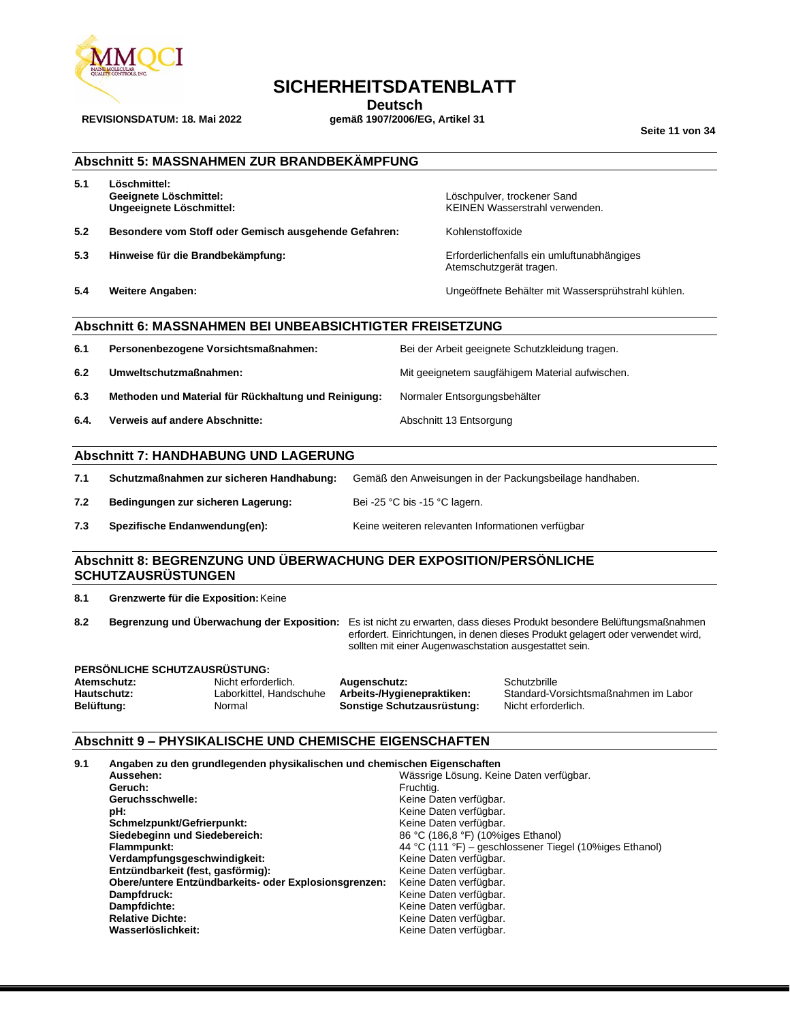

## **SICHERHEITSDATENBLATT**

**Deutsch**<br>gemäß 1907/2006/EG, Artikel 31

**Seite 11 von 34**

### **Abschnitt 5: MASSNAHMEN ZUR BRANDBEKÄMPFUNG**

**5.1 Löschmittel:**

**REVISIONSDATUM: 18. Mai 2022** 

**5.2 Besondere vom Stoff oder Gemisch ausgehende Gefahren:** Kohlenstoffoxide

- **5.3 Hinweise für die Brandbekämpfung:** Erforderlichenfalls ein umluftunabhängiges
- 

**Geeignete Löschmittel:** Löschpulver, trockener Sand KEINEN Wasserstrahl verwenden.

Atemschutzgerät tragen.

**5.4 Weitere Angaben:** Ungeöffnete Behälter mit Wassersprühstrahl kühlen.

## **Abschnitt 6: MASSNAHMEN BEI UNBEABSICHTIGTER FREISETZUNG**

| 6.1  | Personenbezogene Vorsichtsmaßnahmen:                 | Bei der Arbeit geeignete Schutzkleidung tragen. |
|------|------------------------------------------------------|-------------------------------------------------|
| 6.2  | Umweltschutzmaßnahmen:                               | Mit geeignetem saugfähigem Material aufwischen. |
| 6.3  | Methoden und Material für Rückhaltung und Reinigung: | Normaler Entsorgungsbehälter                    |
| 6.4. | Verweis auf andere Abschnitte:                       | Abschnitt 13 Entsorgung                         |

## **Abschnitt 7: HANDHABUNG UND LAGERUNG**

|     | Schutzmaßnahmen zur sicheren Handhabung: | Gemäß den Anweisungen in der Packungsbeilage handhaben. |
|-----|------------------------------------------|---------------------------------------------------------|
| 7.2 | Bedingungen zur sicheren Lagerung:       | Bei -25 °C bis -15 °C lagern.                           |

**7.3 Spezifische Endanwendung(en):** Keine weiteren relevanten Informationen verfügbar

## **Abschnitt 8: BEGRENZUNG UND ÜBERWACHUNG DER EXPOSITION/PERSÖNLICHE SCHUTZAUSRÜSTUNGEN**

**8.1 Grenzwerte für die Exposition:**Keine

**8.2 Begrenzung und Überwachung der Exposition:** Es ist nicht zu erwarten, dass dieses Produkt besondere Belüftungsmaßnahmen erfordert. Einrichtungen, in denen dieses Produkt gelagert oder verwendet wird, sollten mit einer Augenwaschstation ausgestattet sein.

## **PERSÖNLICHE SCHUTZAUSRÜSTUNG:**

Nicht erforderlich. **Augenschutz:** Schutzbrille<br>
Laborkittel, Handschuhe **Arbeits-/Hygienepraktiken:** Standard-Vo **Belüftung:** Normal **Sonstige Schutzausrüstung:** Normal **Sonstige Schutzausrüstung:** 

**Hautschutz:** Laborkittel, Handschuhe **Arbeits-/Hygienepraktiken:** Standard-Vorsichtsmaßnahmen im Labor

## **Abschnitt 9 – PHYSIKALISCHE UND CHEMISCHE EIGENSCHAFTEN**

| 9.1 | Angaben zu den grundlegenden physikalischen und chemischen Eigenschaften |                                                         |
|-----|--------------------------------------------------------------------------|---------------------------------------------------------|
|     | Aussehen:                                                                | Wässrige Lösung. Keine Daten verfügbar.                 |
|     | Geruch:                                                                  | Fruchtia.                                               |
|     | Geruchsschwelle:                                                         | Keine Daten verfügbar.                                  |
|     | pH:                                                                      | Keine Daten verfügbar.                                  |
|     | Schmelzpunkt/Gefrierpunkt:                                               | Keine Daten verfügbar.                                  |
|     | Siedebeginn und Siedebereich:                                            | 86 °C (186,8 °F) (10%iges Ethanol)                      |
|     | Flammpunkt:                                                              | 44 °C (111 °F) – geschlossener Tiegel (10%iges Ethanol) |
|     | Verdampfungsgeschwindigkeit:                                             | Keine Daten verfügbar.                                  |
|     | Entzündbarkeit (fest, gasförmig):                                        | Keine Daten verfügbar.                                  |
|     | Obere/untere Entzündbarkeits- oder Explosionsgrenzen:                    | Keine Daten verfügbar.                                  |
|     | Dampfdruck:                                                              | Keine Daten verfügbar.                                  |
|     | Dampfdichte:                                                             | Keine Daten verfügbar.                                  |
|     | <b>Relative Dichte:</b>                                                  | Keine Daten verfügbar.                                  |
|     | Wasserlöslichkeit:                                                       | Keine Daten verfügbar.                                  |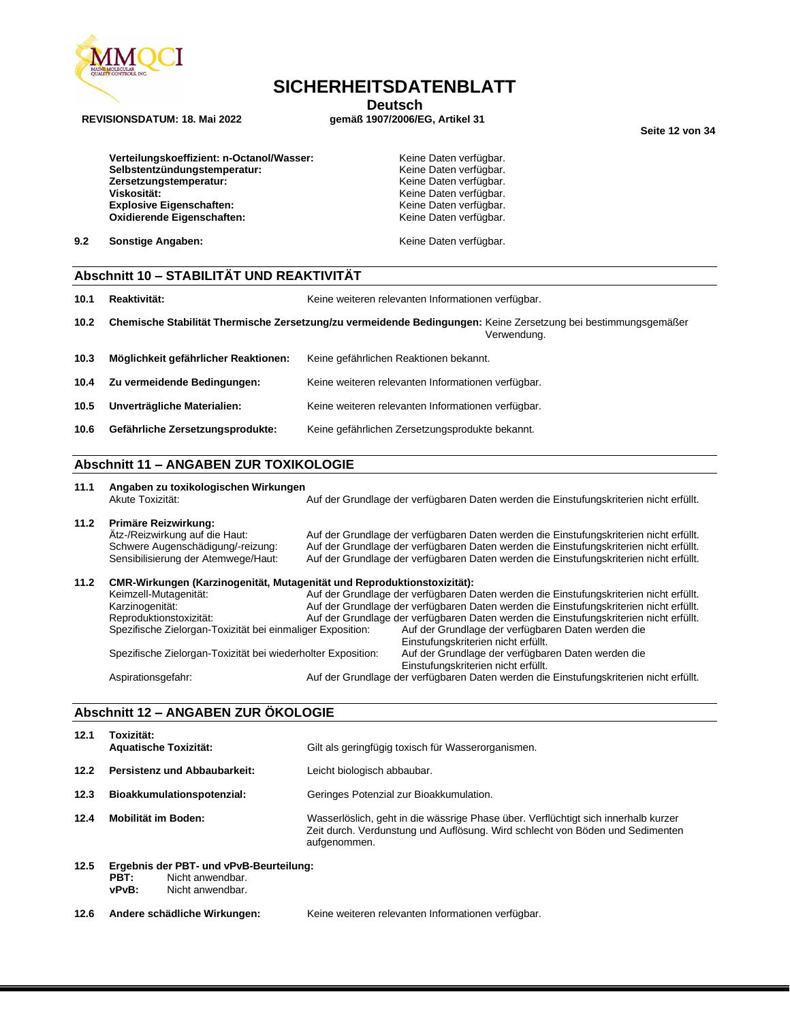

## **SICHERHEITSDATENBLATT**

**Deutsch**<br>gemäß 1907/2006/EG, Artikel 31

**Seite 12 von 34**

Verteilungskoeffizient: n-Octanol/Wasser: **Keine Daten verfügbar.** Werteilungskoeffizient: n-Octanol/Wasser: **Selbstentzündungstemperatur:** Keine Daten verfügbar.<br> **Zersetzungstemperatur:** Keine Daten verfügbar. Zersetzungstemperatur: **Viskosität:** Wiskosität:<br>
Explosive Eigenschaften: Wiskowski Keine Daten verfügbar.<br>
Keine Daten verfügbar. **Explosive Eigenschaften: Oxidierende Eigenschaften:** Keine Daten verfügbar.

**9.2 Sonstige Angaben: Constitution of the U.S. Sonstige Angaben: Keine Daten verfügbar.** 

#### **Abschnitt 10 – STABILITÄT UND REAKTIVITÄT**

**10.1 Reaktivität:** Keine weiteren relevanten Informationen verfügbar.

- **10.2 Chemische Stabilität Thermische Zersetzung/zu vermeidende Bedingungen:** Keine Zersetzung bei bestimmungsgemäßer Verwendung.
- **10.3 Möglichkeit gefährlicher Reaktionen:** Keine gefährlichen Reaktionen bekannt. **10.4 Zu vermeidende Bedingungen:** Keine weiteren relevanten Informationen verfügbar. **10.5 Unverträgliche Materialien:** Keine weiteren relevanten Informationen verfügbar. **10.6 Gefährliche Zersetzungsprodukte:** Keine gefährlichen Zersetzungsprodukte bekannt.

## **Abschnitt 11 – ANGABEN ZUR TOXIKOLOGIE**

**11.1 Angaben zu toxikologischen Wirkungen** Akute Toxizität: Auf der Grundlage der verfügbaren Daten werden die Einstufungskriterien nicht erfüllt. **11.2 Primäre Reizwirkung:** Ätz-/Reizwirkung auf die Haut: Auf der Grundlage der verfügbaren Daten werden die Einstufungskriterien nicht erfüllt. Schwere Augenschädigung/-reizung: Auf der Grundlage der verfügbaren Daten werden die Einstufungskriterien nicht erfüllt.<br>Sensibilisierung der Atemwege/Haut: Auf der Grundlage der verfügbaren Daten werden die Einstufungskri Auf der Grundlage der verfügbaren Daten werden die Einstufungskriterien nicht erfüllt. **11.2 CMR-Wirkungen (Karzinogenität, Mutagenität und Reproduktionstoxizität):** Auf der Grundlage der verfügbaren Daten werden die Einstufungskriterien nicht erfüllt. Karzinogenität: Auf der Grundlage der verfügbaren Daten werden die Einstufungskriterien nicht erfüllt.<br>Auf der Grundlage der verfügbaren Daten werden die Einstufungskriterien nicht erfüllt. Auf der Grundlage der verfügbaren Daten werden die Einstufungskriterien nicht erfüllt.<br>ger Exposition: Auf der Grundlage der verfügbaren Daten werden die Spezifische Zielorgan-Toxizität bei einmaliger Exposition: Einstufungskriterien nicht erfüllt. Spezifische Zielorgan-Toxizität bei wiederholter Exposition: Auf der Grundlage der verfügbaren Daten werden die Einstufungskriterien nicht erfüllt. Aspirationsgefahr: Auf der Grundlage der verfügbaren Daten werden die Einstufungskriterien nicht erfüllt.

## **Abschnitt 12 – ANGABEN ZUR ÖKOLOGIE**

| 12.1 | Toxizität:<br><b>Aquatische Toxizität:</b> | Gilt als geringfügig toxisch für Wasserorganismen.                                                                                                                                  |
|------|--------------------------------------------|-------------------------------------------------------------------------------------------------------------------------------------------------------------------------------------|
| 12.2 | <b>Persistenz und Abbaubarkeit:</b>        | Leicht biologisch abbaubar.                                                                                                                                                         |
| 12.3 | Bioakkumulationspotenzial:                 | Geringes Potenzial zur Bioakkumulation.                                                                                                                                             |
| 12.4 | Mobilität im Boden:                        | Wasserlöslich, geht in die wässrige Phase über. Verflüchtigt sich innerhalb kurzer<br>Zeit durch. Verdunstung und Auflösung. Wird schlecht von Böden und Sedimenten<br>aufgenommen. |
| 12.5 | Ergebnis der PBT- und vPvB-Beurteilung:    |                                                                                                                                                                                     |

- **PBT:** Nicht anwendbar.
	- **vPvB:** Nicht anwendbar.
- **12.6 Andere schädliche Wirkungen:** Keine weiteren relevanten Informationen verfügbar.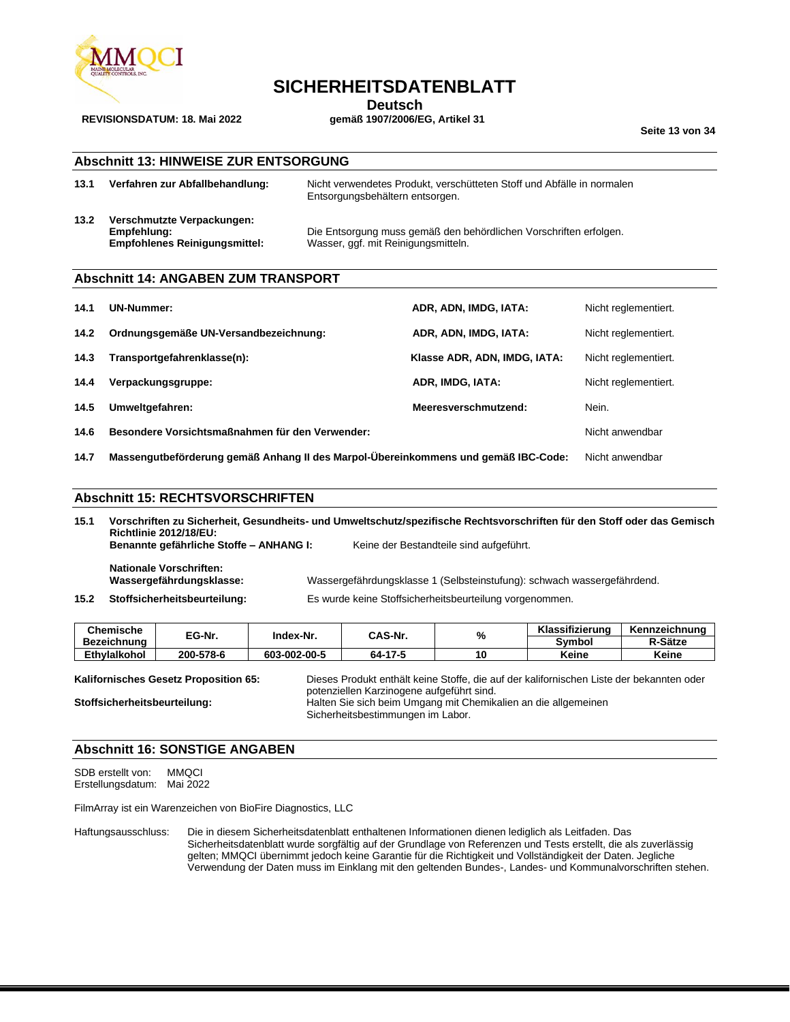

## **SICHERHEITSDATENBLATT**

**Deutsch**<br>gemäß 1907/2006/EG, Artikel 31

**Seite 13 von 34**

## **Abschnitt 13: HINWEISE ZUR ENTSORGUNG**

| 13.1 | Verfahren zur Abfallbehandlung:      | Nicht verwendetes Produkt, verschütteten Stoff und Abfälle in normalen<br>Entsorgungsbehältern entsorgen. |
|------|--------------------------------------|-----------------------------------------------------------------------------------------------------------|
| 13.2 | Verschmutzte Verpackungen:           |                                                                                                           |
|      | Empfehlung:                          | Die Entsorgung muss gemäß den behördlichen Vorschriften erfolgen.                                         |
|      | <b>Empfohlenes Reinigungsmittel:</b> | Wasser, ggf. mit Reinigungsmitteln.                                                                       |

#### **Abschnitt 14: ANGABEN ZUM TRANSPORT**

| 14.1 | <b>UN-Nummer:</b>                                                                                     | ADR, ADN, IMDG, IATA:        | Nicht reglementiert. |
|------|-------------------------------------------------------------------------------------------------------|------------------------------|----------------------|
| 14.2 | Ordnungsgemäße UN-Versandbezeichnung:                                                                 | ADR, ADN, IMDG, IATA:        | Nicht reglementiert. |
| 14.3 | Transportgefahrenklasse(n):                                                                           | Klasse ADR, ADN, IMDG, IATA: | Nicht reglementiert. |
| 14.4 | Verpackungsgruppe:                                                                                    | ADR, IMDG, IATA:             | Nicht reglementiert. |
| 14.5 | Umweltgefahren:                                                                                       | Nein.                        |                      |
| 14.6 | Besondere Vorsichtsmaßnahmen für den Verwender:                                                       | Nicht anwendbar              |                      |
| 14.7 | Massengutbeförderung gemäß Anhang II des Marpol-Übereinkommens und gemäß IBC-Code:<br>Nicht anwendbar |                              |                      |

#### **Abschnitt 15: RECHTSVORSCHRIFTEN**

**15.1 Vorschriften zu Sicherheit, Gesundheits- und Umweltschutz/spezifische Rechtsvorschriften für den Stoff oder das Gemisch Richtlinie 2012/18/EU: Benannte gefährliche Stoffe – ANHANG I:** Keine der Bestandteile sind aufgeführt.

**Nationale Vorschriften:**

**Wassergefährdungsklasse:** Wassergefährdungsklasse 1 (Selbsteinstufung): schwach wassergefährdend.

**15.2 Stoffsicherheitsbeurteilung:** Es wurde keine Stoffsicherheitsbeurteilung vorgenommen.

| <b>Chemische</b>    | EG-Nr.    | Index-Nr.    | CAS-Nr. | 7ο | Klassifizierung | Kennzeichnung |
|---------------------|-----------|--------------|---------|----|-----------------|---------------|
| Bezeichnung         |           |              |         |    | Symbol          | R-Sätze       |
| <b>Ethvlalkohol</b> | 200-578-6 | 603-002-00-5 | 64-17-5 |    | Keine           | Keine         |

**Kalifornisches Gesetz Proposition 65:** Dieses Produkt enthält keine Stoffe, die auf der kalifornischen Liste der bekannten oder potenziellen Karzinogene aufgeführt sind. **Stoffsicherheitsbeurteilung:** Halten Sie sich beim Umgang mit Chemikalien an die allgemeinen Sicherheitsbestimmungen im Labor.

## **Abschnitt 16: SONSTIGE ANGABEN**

SDB erstellt von: MMQCI Erstellungsdatum: Mai 2022

FilmArray ist ein Warenzeichen von BioFire Diagnostics, LLC

Haftungsausschluss: Die in diesem Sicherheitsdatenblatt enthaltenen Informationen dienen lediglich als Leitfaden. Das Sicherheitsdatenblatt wurde sorgfältig auf der Grundlage von Referenzen und Tests erstellt, die als zuverlässig gelten; MMQCI übernimmt jedoch keine Garantie für die Richtigkeit und Vollständigkeit der Daten. Jegliche Verwendung der Daten muss im Einklang mit den geltenden Bundes-, Landes- und Kommunalvorschriften stehen.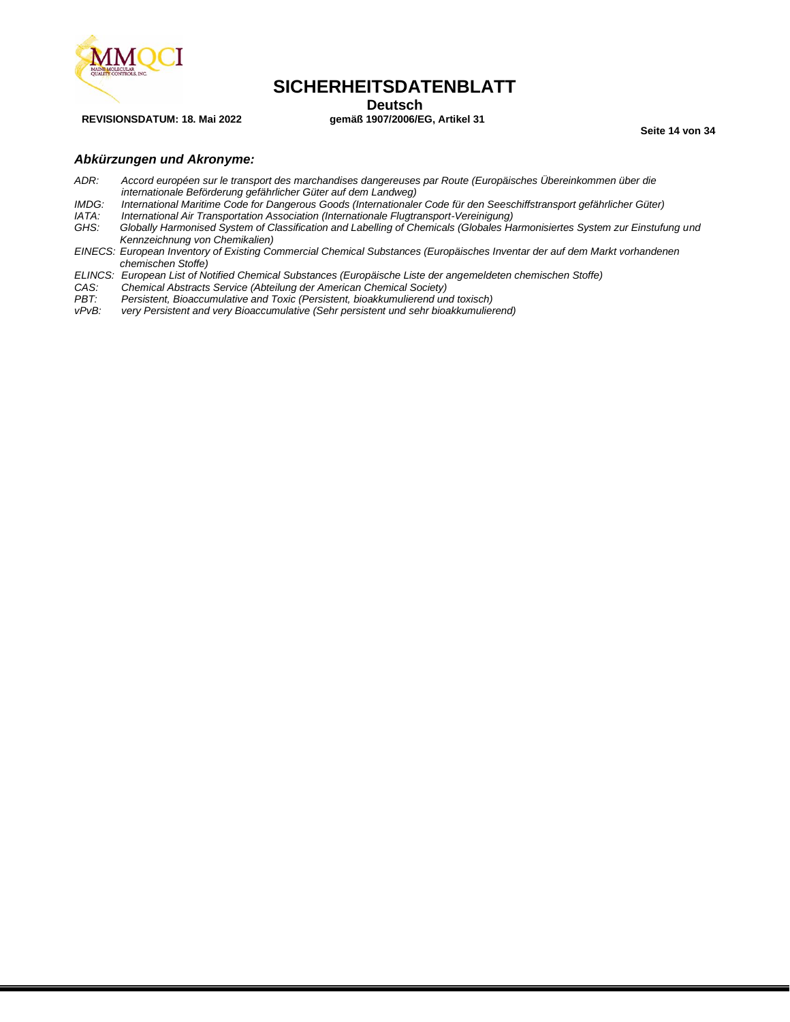

## **SICHERHEITSDATENBLATT**

**Deutsch**<br>gemäß 1907/2006/EG, Artikel 31

**Seite 14 von 34**

#### *Abkürzungen und Akronyme:*

- *ADR: Accord européen sur le transport des marchandises dangereuses par Route (Europäisches Übereinkommen über die internationale Beförderung gefährlicher Güter auf dem Landweg)*
- *IMDG: International Maritime Code for Dangerous Goods (Internationaler Code für den Seeschiffstransport gefährlicher Güter)*
- *IATA: International Air Transportation Association (Internationale Flugtransport-Vereinigung)*
- *GHS: Globally Harmonised System of Classification and Labelling of Chemicals (Globales Harmonisiertes System zur Einstufung und Kennzeichnung von Chemikalien)*
- *EINECS: European Inventory of Existing Commercial Chemical Substances (Europäisches Inventar der auf dem Markt vorhandenen chemischen Stoffe)*
- *ELINCS: European List of Notified Chemical Substances (Europäische Liste der angemeldeten chemischen Stoffe)*
- *CAS: Chemical Abstracts Service (Abteilung der American Chemical Society)*
- *PBT: Persistent, Bioaccumulative and Toxic (Persistent, bioakkumulierend und toxisch)*
- *very Persistent and very Bioaccumulative (Sehr persistent und sehr bioakkumulierend)*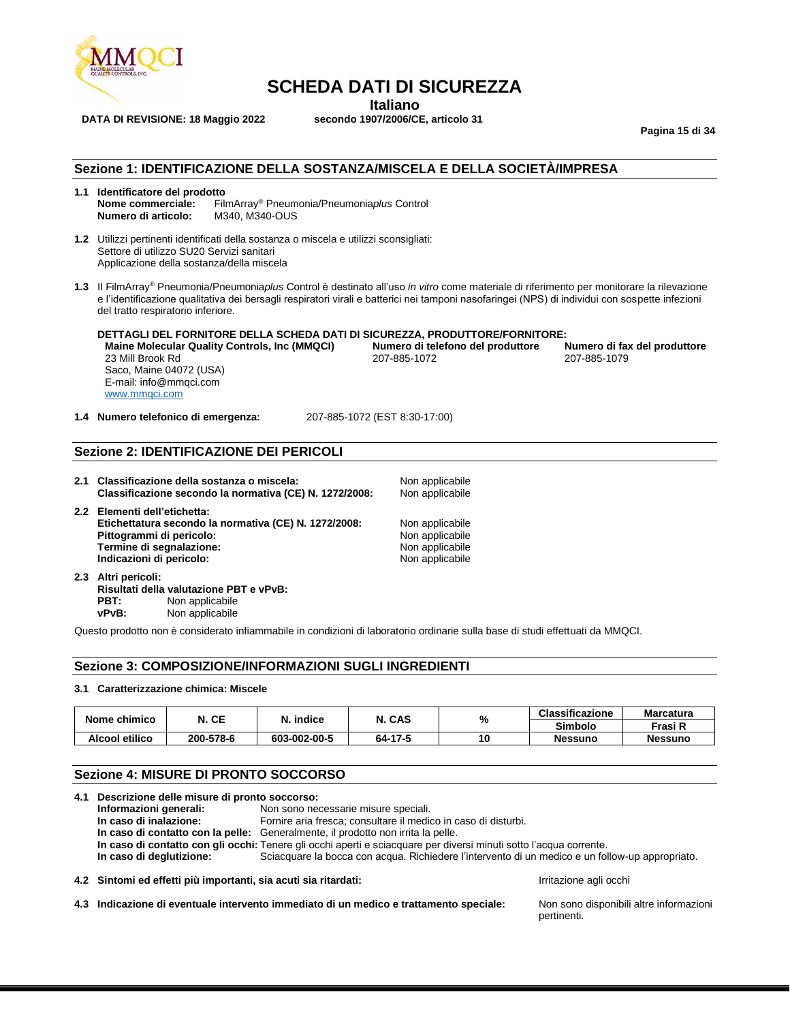

**Italiano**<br>**ITALIANO** secondo 1907/2006/CE, articolo 31

**DATA DI REVISIONE: 18 Maggio 2022** 

**Pagina 15 di 34**

#### **Sezione 1: IDENTIFICAZIONE DELLA SOSTANZA/MISCELA E DELLA SOCIETÀ/IMPRESA**

- **1.1 Identificatore del prodotto** FilmArray<sup>®</sup> Pneumonia/Pneumonia*plus* Control<br>M340, M340-OUS **Numero di articolo:**
- **1.2** Utilizzi pertinenti identificati della sostanza o miscela e utilizzi sconsigliati: Settore di utilizzo SU20 Servizi sanitari Applicazione della sostanza/della miscela
- **1.3** Il FilmArray® Pneumonia/Pneumonia*plus* Control è destinato all'uso *in vitro* come materiale di riferimento per monitorare la rilevazione e l'identificazione qualitativa dei bersagli respiratori virali e batterici nei tamponi nasofaringei (NPS) di individui con sospette infezioni del tratto respiratorio inferiore.

**DETTAGLI DEL FORNITORE DELLA SCHEDA DATI DI SICUREZZA, PRODUTTORE/FORNITORE: Maine Molecular Quality Controls, Inc (MMQCI) Numero di telefono del produttore**<br>
207-885-1072<br>
207-885-1072 23 Mill Brook Rd 207-885-1072 207-885-1079 Saco, Maine 04072 (USA) E-mail: info@mmqci.com [www.mmqci.com](http://www.mmqci.com/)

**1.4 Numero telefonico di emergenza:** 207-885-1072 (EST 8:30-17:00)

## **Sezione 2: IDENTIFICAZIONE DEI PERICOLI**

**2.1 Classificazione della sostanza o miscela:** Non applicabile<br>**Classificazione secondo la normativa (CE) N. 1272/2008:** Non applicabile **Classificazione secondo la normativa (CE) N. 1272/2008:** 

**2.2 Elementi dell'etichetta: Etichettatura secondo la normativa (CE) N. 1272/2008:** Non applicabile<br> **Pittogrammi di pericolo:** Non applicabile **Pittogrammi di pericolo:** Non applicabile<br> **Pittogrammi di segnalazione:** Non applicabile<br>
Non applicabile **Termine di segnalazione:** Non applicabile<br> **Indicazioni di pericolo:** Non applicabile<br>
Non applicabile **Indicazioni di pericolo:** 

**2.3 Altri pericoli: Risultati della valutazione PBT e vPvB: PBT:** Non applicabile **vPvB:** Non applicabile

Questo prodotto non è considerato infiammabile in condizioni di laboratorio ordinarie sulla base di studi effettuati da MMQCI.

#### **Sezione 3: COMPOSIZIONE/INFORMAZIONI SUGLI INGREDIENTI**

#### **3.1 Caratterizzazione chimica: Miscele**

| Nome chimico   | N. CE     | N. indice    | N. CAS  | %  | <b>Classificazione</b> | <b>Marcatura</b> |
|----------------|-----------|--------------|---------|----|------------------------|------------------|
|                |           |              |         |    | <b>Simbolo</b>         | Frasi R          |
| Alcool etilico | 200-578-6 | 603-002-00-5 | 64-17-5 | 10 | Nessuno                | <b>Nessuno</b>   |

### **Sezione 4: MISURE DI PRONTO SOCCORSO**

|                                                                                                                    | 4.1 Descrizione delle misure di pronto soccorso:                |                                                                                                 |                        |
|--------------------------------------------------------------------------------------------------------------------|-----------------------------------------------------------------|-------------------------------------------------------------------------------------------------|------------------------|
|                                                                                                                    | Non sono necessarie misure speciali.<br>Informazioni generali:  |                                                                                                 |                        |
|                                                                                                                    | In caso di inalazione:                                          | Fornire aria fresca; consultare il medico in caso di disturbi.                                  |                        |
| In caso di contatto con la pelle: Generalmente, il prodotto non irrita la pelle.                                   |                                                                 |                                                                                                 |                        |
| In caso di contatto con gli occhi: Tenere gli occhi aperti e sciacquare per diversi minuti sotto l'acqua corrente. |                                                                 |                                                                                                 |                        |
|                                                                                                                    | In caso di deglutizione:                                        | Sciacquare la bocca con acqua. Richiedere l'intervento di un medico e un follow-up appropriato. |                        |
|                                                                                                                    | 4.2 Sintomi ed effetti più importanti, sia acuti sia ritardati: |                                                                                                 | Irritazione agli occhi |

**4.3 Indicazione di eventuale intervento immediato di un medico e trattamento speciale:** Non sono disponibili altre informazioni

pertinenti.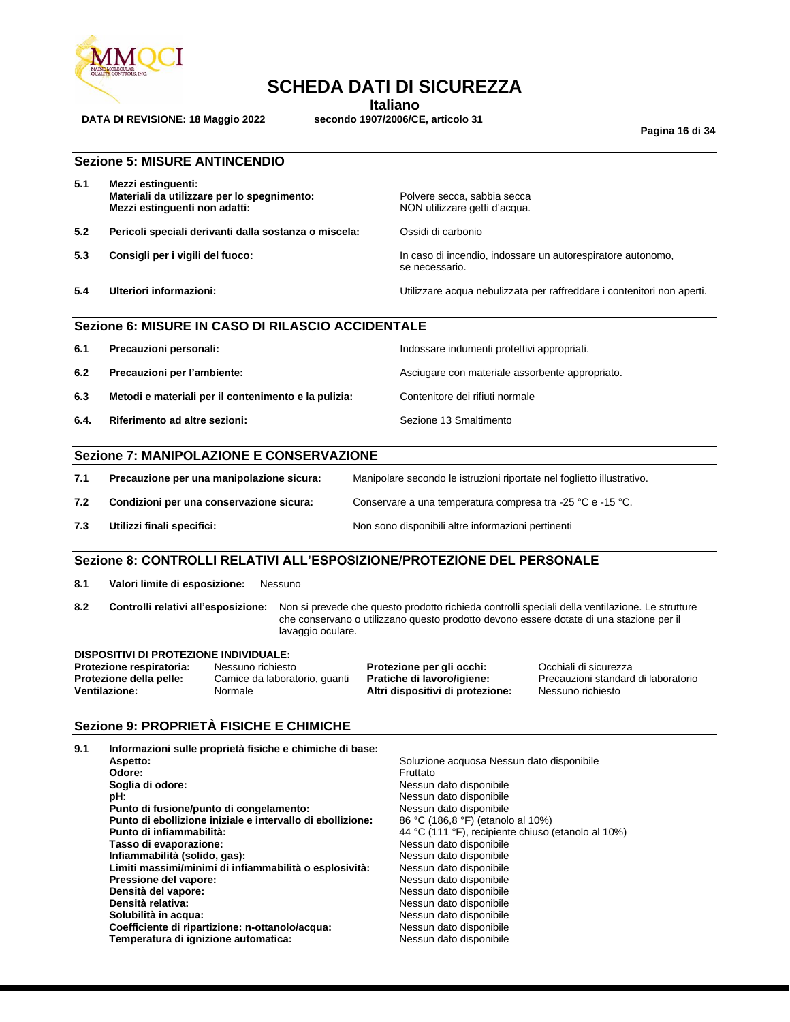

**Italiano**<br>**ITALIANO** secondo 1907/2006/CE, articolo 31

**Pagina 16 di 34**

|  |  |  | <b>Sezione 5: MISURE ANTINCENDIO</b> |  |
|--|--|--|--------------------------------------|--|
|--|--|--|--------------------------------------|--|

**DATA DI REVISIONE: 18 Maggio 2022** 

| 5.1 | Mezzi estinguenti:                          |  |
|-----|---------------------------------------------|--|
|     | Materiali da utilizzare per lo spegnimento: |  |
|     | Mezzi estinguenti non adatti:               |  |

- **5.2 Pericoli speciali derivanti dalla sostanza o miscela:** Ossidi di carbonio
- 

Polvere secca, sabbia secca **NON utilizzare getti d'acqua.** 

**5.3 Consigli per i vigili del fuoco:** In caso di incendio, indossare un autorespiratore autonomo, se necessario.

**5.4 Ulteriori informazioni:** Utilizzare acqua nebulizzata per raffreddare i contenitori non aperti.

## **Sezione 6: MISURE IN CASO DI RILASCIO ACCIDENTALE**

| 6.1  | Precauzioni personali:                               | Indossare indumenti protettivi appropriati.     |
|------|------------------------------------------------------|-------------------------------------------------|
| 6.2  | Precauzioni per l'ambiente:                          | Asciugare con materiale assorbente appropriato. |
| 6.3  | Metodi e materiali per il contenimento e la pulizia: | Contenitore dei rifiuti normale                 |
| 6.4. | Riferimento ad altre sezioni:                        | Sezione 13 Smaltimento                          |

## **Sezione 7: MANIPOLAZIONE E CONSERVAZIONE**

| 7.1 | Precauzione per una manipolazione sicura: | Manipolare secondo le istruzioni riportate nel foglietto illustrativo. |
|-----|-------------------------------------------|------------------------------------------------------------------------|
| 7.2 | Condizioni per una conservazione sicura:  | Conservare a una temperatura compresa tra -25 °C e -15 °C.             |
| 7.3 | Utilizzi finali specifici:                | Non sono disponibili altre informazioni pertinenti                     |

## **Sezione 8: CONTROLLI RELATIVI ALL'ESPOSIZIONE/PROTEZIONE DEL PERSONALE**

**8.1 Valori limite di esposizione:** Nessuno

**8.2 Controlli relativi all'esposizione:** Non si prevede che questo prodotto richieda controlli speciali della ventilazione. Le strutture che conservano o utilizzano questo prodotto devono essere dotate di una stazione per il lavaggio oculare.

#### **DISPOSITIVI DI PROTEZIONE INDIVIDUALE:**

**Protezione respiratoria:** Nessuno richiesto **Protezione per gli occhi:** Occhiali di sicurezza<br>**Protezione della pelle:** Camice da laboratorio, guanti **Pratiche di lavoro/igiene:** Precauzioni standard di laboratorio **Protezione della pelle:** Camice da laboratorio, guanti **Ventilazione:** Normale **Altri dispositivi di protezione:** Nessuno richiesto

### **Sezione 9: PROPRIETÀ FISICHE E CHIMICHE**

| 9.1 | Informazioni sulle proprietà fisiche e chimiche di base:   |                                                    |
|-----|------------------------------------------------------------|----------------------------------------------------|
|     | Aspetto:                                                   | Soluzione acquosa Nessun dato disponibile          |
|     | Odore:                                                     | Fruttato                                           |
|     | Soglia di odore:                                           | Nessun dato disponibile                            |
|     | pH:                                                        | Nessun dato disponibile                            |
|     | Punto di fusione/punto di congelamento:                    | Nessun dato disponibile                            |
|     | Punto di ebollizione iniziale e intervallo di ebollizione: | 86 °C (186,8 °F) (etanolo al 10%)                  |
|     | Punto di infiammabilità:                                   | 44 °C (111 °F), recipiente chiuso (etanolo al 10%) |
|     | Tasso di evaporazione:                                     | Nessun dato disponibile                            |
|     | Infiammabilità (solido, gas):                              | Nessun dato disponibile                            |
|     | Limiti massimi/minimi di infiammabilità o esplosività:     | Nessun dato disponibile                            |
|     | Pressione del vapore:                                      | Nessun dato disponibile                            |
|     | Densità del vapore:                                        | Nessun dato disponibile                            |
|     | Densità relativa:                                          | Nessun dato disponibile                            |
|     | Solubilità in acqua:                                       | Nessun dato disponibile                            |
|     | Coefficiente di ripartizione: n-ottanolo/acqua:            | Nessun dato disponibile                            |
|     | Temperatura di ignizione automatica:                       | Nessun dato disponibile                            |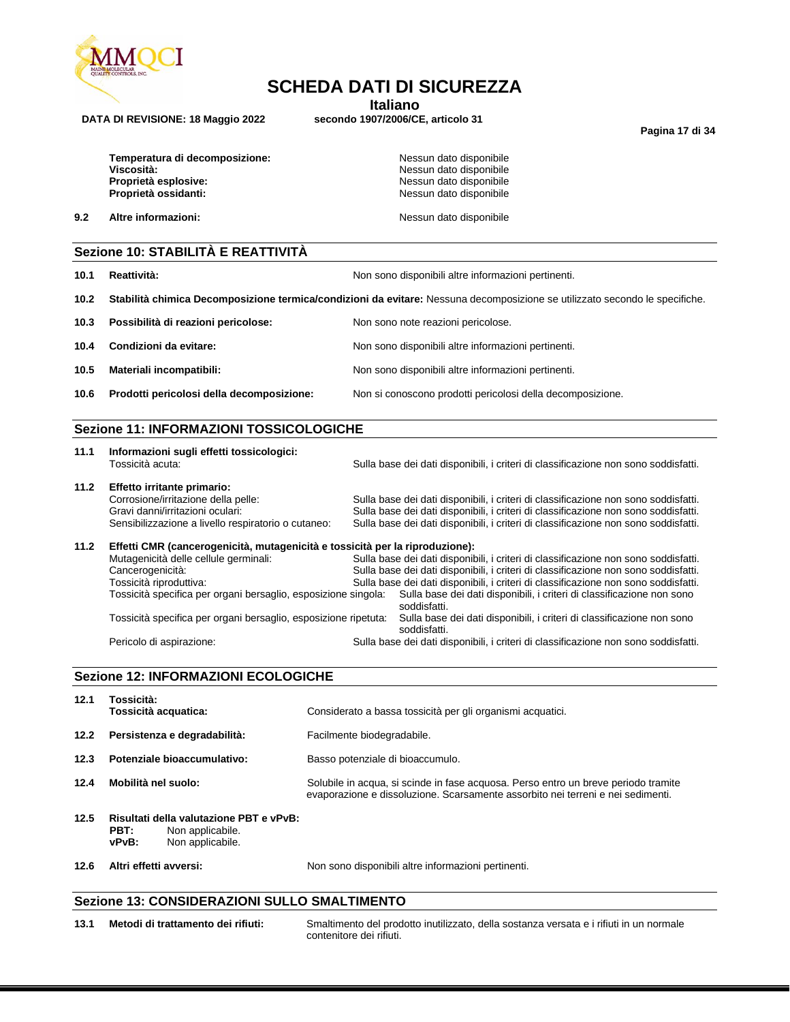

**Italiano**<br>**ITALIANO** secondo 1907/2006/CE, articolo 31

**Pagina 17 di 34**

| Temperatura di decomposizione: |
|--------------------------------|
| Viscosità:                     |
| Proprietà esplosive:           |
| Proprietà ossidanti:           |

**DATA DI REVISIONE: 18 Maggio 2022** 

**Nessun dato disponibile Viscosità:** Nessun dato disponibile **Proprietà esplosive:** Nessun dato disponibile **Nessun dato disponibile** 

**9.2 Altre informazioni: Nessun dato disponibile Nessun dato disponibile** 

#### **Sezione 10: STABILITÀ E REATTIVITÀ**

- **10.1 Reattività:** Non sono disponibili altre informazioni pertinenti. **10.2 Stabilità chimica Decomposizione termica/condizioni da evitare:** Nessuna decomposizione se utilizzato secondo le specifiche. **10.3 Possibilità di reazioni pericolose:** Non sono note reazioni pericolose. **10.4 Condizioni da evitare:** Non sono disponibili altre informazioni pertinenti. **10.5 Materiali incompatibili:** Non sono disponibili altre informazioni pertinenti.
- **10.6 Prodotti pericolosi della decomposizione:** Non si conoscono prodotti pericolosi della decomposizione.

## **Sezione 11: INFORMAZIONI TOSSICOLOGICHE**

| 11.1 | Informazioni sugli effetti tossicologici:<br>Tossicità acuta:                                                                                                 | Sulla base dei dati disponibili, i criteri di classificazione non sono soddisfatti.                                                                                                                                                                               |
|------|---------------------------------------------------------------------------------------------------------------------------------------------------------------|-------------------------------------------------------------------------------------------------------------------------------------------------------------------------------------------------------------------------------------------------------------------|
| 11.2 | Effetto irritante primario:<br>Corrosione/irritazione della pelle:<br>Gravi danni/irritazioni oculari:<br>Sensibilizzazione a livello respiratorio o cutaneo: | Sulla base dei dati disponibili, i criteri di classificazione non sono soddisfatti.<br>Sulla base dei dati disponibili, i criteri di classificazione non sono soddisfatti.<br>Sulla base dei dati disponibili, i criteri di classificazione non sono soddisfatti. |
| 11.2 | Effetti CMR (cancerogenicità, mutagenicità e tossicità per la riproduzione):                                                                                  |                                                                                                                                                                                                                                                                   |

Mutagenicità delle cellule germinali: Sulla base dei dati disponibili, i criteri di classificazione non sono soddisfatti. Cancerogenicità: Sulla base dei dati disponibili, i criteri di classificazione non sono soddisfatti. Tossicità riproduttiva: Sulla base dei dati disponibili, i criteri di classificazione non sono soddisfatti. Sulla base dei dati disponibili, i criteri di classificazione non sono soddisfatti. Tossicità specifica per organi bersaglio, esposizione ripetuta: Sulla base dei dati disponibili, i criteri di classificazione non sono soddisfatti. Pericolo di aspirazione: Sulla base dei dati disponibili, i criteri di classificazione non sono soddisfatti.

#### **Sezione 12: INFORMAZIONI ECOLOGICHE**

| 12.6 | Altri effetti avversi:                                                                           | Non sono disponibili altre informazioni pertinenti.                                                                                                                   |
|------|--------------------------------------------------------------------------------------------------|-----------------------------------------------------------------------------------------------------------------------------------------------------------------------|
| 12.5 | Risultati della valutazione PBT e vPvB:<br>PBT:<br>Non applicabile.<br>vPvB:<br>Non applicabile. |                                                                                                                                                                       |
| 12.4 | Mobilità nel suolo:                                                                              | Solubile in acqua, si scinde in fase acquosa. Perso entro un breve periodo tramite<br>evaporazione e dissoluzione. Scarsamente assorbito nei terreni e nei sedimenti. |
| 12.3 | Potenziale bioaccumulativo:                                                                      | Basso potenziale di bioaccumulo.                                                                                                                                      |
| 12.2 | Persistenza e degradabilità:                                                                     | Facilmente biodegradabile.                                                                                                                                            |
| 12.1 | Tossicità:<br>Tossicità acquatica:                                                               | Considerato a bassa tossicità per gli organismi acquatici.                                                                                                            |

## **Sezione 13: CONSIDERAZIONI SULLO SMALTIMENTO**

**13.1 Metodi di trattamento dei rifiuti:** Smaltimento del prodotto inutilizzato, della sostanza versata e i rifiuti in un normale contenitore dei rifiuti.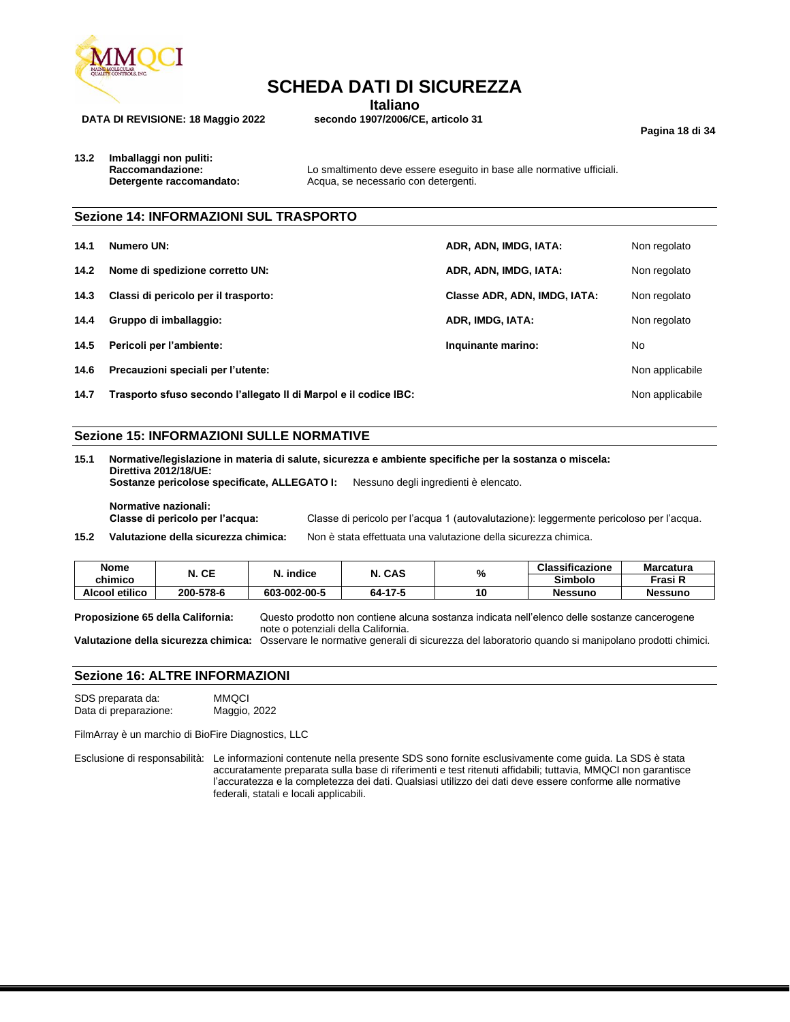

**Italiano**<br>**ITALIANO** secondo 1907/2006/CE, articolo 31

**Pagina 18 di 34**

**DATA DI REVISIONE: 18 Maggio 2022** 

**13.2 Imballaggi non puliti:**

**Raccomandazione:** Lo smaltimento deve essere eseguito in base alle normative ufficiali.<br> **Detergente raccomandato:** Acqua, se necessario con detergenti. Acqua, se necessario con detergenti.

### **Sezione 14: INFORMAZIONI SUL TRASPORTO**

| 14.1 | Numero UN:                                                       | ADR, ADN, IMDG, IATA:        | Non regolato    |
|------|------------------------------------------------------------------|------------------------------|-----------------|
| 14.2 | Nome di spedizione corretto UN:                                  | ADR, ADN, IMDG, IATA:        | Non regolato    |
| 14.3 | Classi di pericolo per il trasporto:                             | Classe ADR, ADN, IMDG, IATA: | Non regolato    |
| 14.4 | Gruppo di imballaggio:                                           | ADR, IMDG, IATA:             | Non regolato    |
| 14.5 | Pericoli per l'ambiente:                                         | Inquinante marino:           | No.             |
| 14.6 | Precauzioni speciali per l'utente:                               |                              | Non applicabile |
| 14.7 | Trasporto sfuso secondo l'allegato II di Marpol e il codice IBC: |                              | Non applicabile |

## **Sezione 15: INFORMAZIONI SULLE NORMATIVE**

| 15.1<br>Normative/legislazione in materia di salute, sicurezza e ambiente specifiche per la sostanza o miscela:<br>Direttiva 2012/18/UE: |                                                                                         |  |
|------------------------------------------------------------------------------------------------------------------------------------------|-----------------------------------------------------------------------------------------|--|
| Sostanze pericolose specificate, ALLEGATO I:                                                                                             | Nessuno degli ingredienti è elencato.                                                   |  |
| Normative nazionali:<br>Classe di pericolo per l'acqua:                                                                                  | Classe di pericolo per l'acqua 1 (autovalutazione): leggermente pericoloso per l'acqua. |  |
| Valutazione della sicurezza chimica:                                                                                                     | Non è stata effettuata una valutazione della sicurezza chimica.                         |  |
|                                                                                                                                          |                                                                                         |  |

| <b>Nome</b>    | N. CE     | N. indice    | N. CAS  | %  | <b>Classificazione</b> | <b>Marcatura</b> |
|----------------|-----------|--------------|---------|----|------------------------|------------------|
| chimico        |           |              |         |    | <b>Simbolo</b>         | Frasi R          |
| Alcool etilico | 200-578-6 | 603-002-00-5 | 64-17-5 | 10 | <b>Nessuno</b>         | <b>Nessuno</b>   |

**Proposizione 65 della California:** Questo prodotto non contiene alcuna sostanza indicata nell'elenco delle sostanze cancerogene note o potenziali della California.

**Valutazione della sicurezza chimica:** Osservare le normative generali di sicurezza del laboratorio quando si manipolano prodotti chimici.

### **Sezione 16: ALTRE INFORMAZIONI**

SDS preparata da: MMQCI Data di preparazione: Maggio, 2022

FilmArray è un marchio di BioFire Diagnostics, LLC

Esclusione di responsabilità: Le informazioni contenute nella presente SDS sono fornite esclusivamente come guida. La SDS è stata accuratamente preparata sulla base di riferimenti e test ritenuti affidabili; tuttavia, MMQCI non garantisce l'accuratezza e la completezza dei dati. Qualsiasi utilizzo dei dati deve essere conforme alle normative federali, statali e locali applicabili.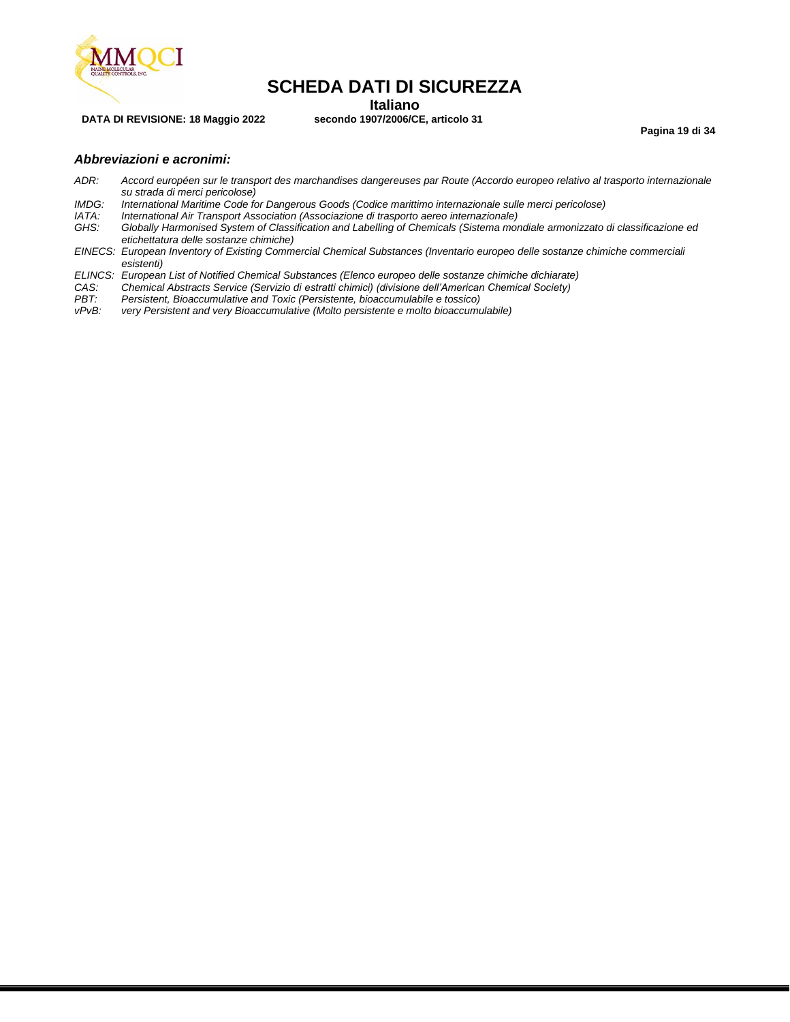

**Italiano**<br>**ITALIANO** secondo 1907/2006/CE, articolo 31

**Pagina 19 di 34**

### *Abbreviazioni e acronimi:*

**DATA DI REVISIONE: 18 Maggio 2022** 

- *ADR: Accord européen sur le transport des marchandises dangereuses par Route (Accordo europeo relativo al trasporto internazionale su strada di merci pericolose)*
- *IMDG: International Maritime Code for Dangerous Goods (Codice marittimo internazionale sulle merci pericolose)*
- *IATA: International Air Transport Association (Associazione di trasporto aereo internazionale)*
- *GHS: Globally Harmonised System of Classification and Labelling of Chemicals (Sistema mondiale armonizzato di classificazione ed etichettatura delle sostanze chimiche)*
- *EINECS: European Inventory of Existing Commercial Chemical Substances (Inventario europeo delle sostanze chimiche commerciali esistenti)*
- *ELINCS: European List of Notified Chemical Substances (Elenco europeo delle sostanze chimiche dichiarate)*
- *CAS: Chemical Abstracts Service (Servizio di estratti chimici) (divisione dell'American Chemical Society)*
- *PBT: Persistent, Bioaccumulative and Toxic (Persistente, bioaccumulabile e tossico)*
- very Persistent and very Bioaccumulative (Molto persistente e molto bioaccumulabile)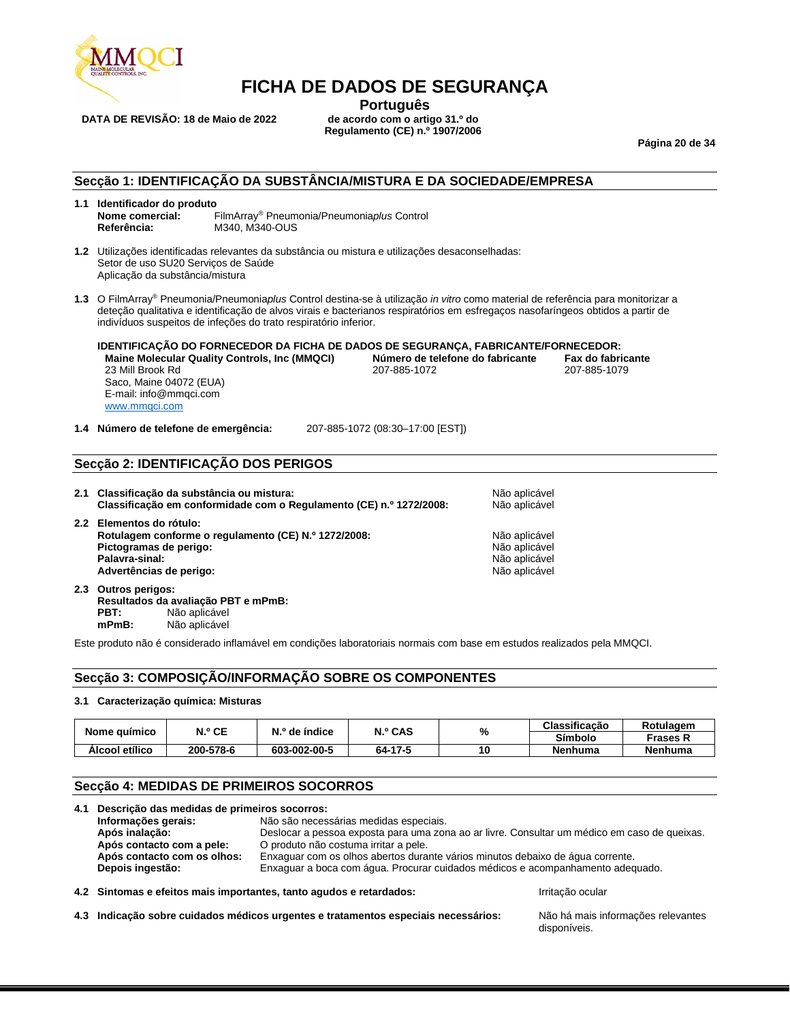

**DATA DE REVISÃO: 18 de Maio de 2022** 

**Português**<br>de acordo com o artigo 31.º do **Regulamento (CE) n.º 1907/2006**

**Página 20 de 34**

#### **Secção 1: IDENTIFICAÇÃO DA SUBSTÂNCIA/MISTURA E DA SOCIEDADE/EMPRESA**

- **1.1 Identificador do produto Nome comercial:** FilmArray® Pneumonia/Pneumonia*plus* Control **Referência:** M340, M340-OUS
- **1.2** Utilizações identificadas relevantes da substância ou mistura e utilizações desaconselhadas: Setor de uso SU20 Serviços de Saúde Aplicação da substância/mistura
- **1.3** O FilmArray® Pneumonia/Pneumonia*plus* Control destina-se à utilização *in vitro* como material de referência para monitorizar a deteção qualitativa e identificação de alvos virais e bacterianos respiratórios em esfregaços nasofaríngeos obtidos a partir de indivíduos suspeitos de infeções do trato respiratório inferior.

**IDENTIFICAÇÃO DO FORNECEDOR DA FICHA DE DADOS DE SEGURANÇA, FABRICANTE/FORNECEDOR: Maine Molecular Quality Controls, Inc (MMQCI) Número de telefone do fabricante Fax do fabricante** 23 Mill Brook Rd Saco, Maine 04072 (EUA) E-mail: info@mmqci.com [www.mmqci.com](http://www.mmqci.com/)

**1.4 Número de telefone de emergência:** 207-885-1072 (08:30–17:00 [EST])

## **Secção 2: IDENTIFICAÇÃO DOS PERIGOS**

**2.1 Classificação da substância ou mistura:** Não aplicável **Classificação em conformidade com o Regulamento (CE) n.º 1272/2008:** Não aplicável **2.2 Elementos do rótulo: Rotulagem conforme o regulamento (CE) N.º 1272/2008:** Não aplicável **Pictogramas de perigo:** Não aplicável e perigo:<br>**Palavra-sinal:** Não aplicável e perigo de perigo de persoas e persoas de persoas de Não aplicável e Persoas de N **Palavra-sinal: Advertências de perigo:** Não aplicável

**2.3 Outros perigos: Resultados da avaliação PBT e mPmB: PBT:** Não aplicável<br> **mPmB:** Não aplicável **mPmB:** Não aplicável

Este produto não é considerado inflamável em condições laboratoriais normais com base em estudos realizados pela MMQCI.

## **Secção 3: COMPOSIÇÃO/INFORMAÇÃO SOBRE OS COMPONENTES**

#### **3.1 Caracterização química: Misturas**

|                | N.º CE    | N.º de índice | N.º CAS | %  | Classificação | Rotulagem      |
|----------------|-----------|---------------|---------|----|---------------|----------------|
| Nome guímico   |           |               |         |    | Símbolo       | Frases R       |
| Alcool etílico | 200-578-6 | 603-002-00-5  | 64-17-5 | 10 | Nenhuma       | <b>Nenhuma</b> |

## **Secção 4: MEDIDAS DE PRIMEIROS SOCORROS**

| 4.1 Descrição das medidas de primeiros socorros: |                                                                                |                                                                                              |
|--------------------------------------------------|--------------------------------------------------------------------------------|----------------------------------------------------------------------------------------------|
| Informações gerais:                              | Não são necessárias medidas especiais.                                         |                                                                                              |
| Após inalação:                                   |                                                                                | Deslocar a pessoa exposta para uma zona ao ar livre. Consultar um médico em caso de queixas. |
| Após contacto com a pele:                        | O produto não costuma irritar a pele.                                          |                                                                                              |
| Após contacto com os olhos:                      | Enxaguar com os olhos abertos durante vários minutos debaixo de água corrente. |                                                                                              |
| Depois ingestão:                                 |                                                                                | Enxaguar a boca com água. Procurar cuidados médicos e acompanhamento adequado.               |
|                                                  | 4.2 Sintomas e efeitos mais importantes, tanto agudos e retardados:            | Irritação ocular                                                                             |

**4.3 Indicação sobre cuidados médicos urgentes e tratamentos especiais necessários:** Não há mais informações relevantes

disponíveis.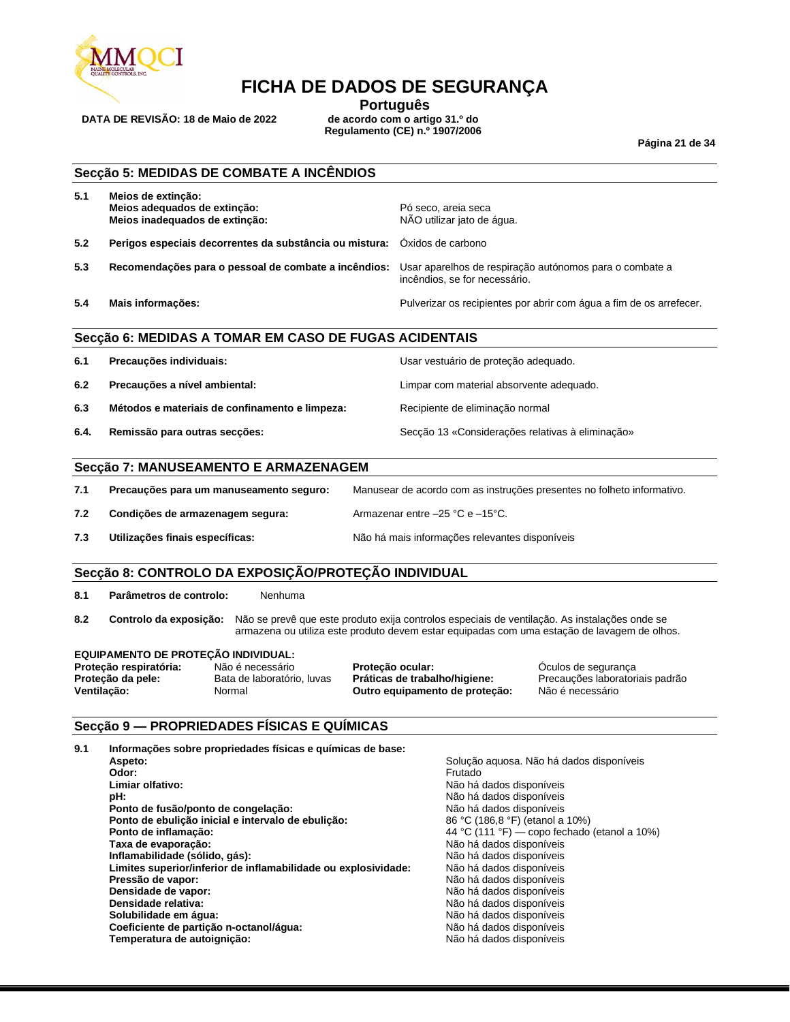

**DATA DE REVISÃO: 18 de Maio de 2022** 

**Português**<br>de acordo com o artigo 31.º do **Regulamento (CE) n.º 1907/2006**

**Página 21 de 34**

## **Secção 5: MEDIDAS DE COMBATE A INCÊNDIOS**

| 5.1 | Meios de extinção:<br>Meios adequados de extinção:<br>Meios inadequados de extinção: | Pó seco, areia seca<br>NÃO utilizar jato de água.                                        |
|-----|--------------------------------------------------------------------------------------|------------------------------------------------------------------------------------------|
| 5.2 | Perigos especiais decorrentes da substância ou mistura: Oxidos de carbono            |                                                                                          |
| 5.3 | Recomendações para o pessoal de combate a incêndios:                                 | Usar aparelhos de respiração autónomos para o combate a<br>incêndios, se for necessário. |
| 5.4 | Mais informações:                                                                    | Pulverizar os recipientes por abrir com água a fim de os arrefecer.                      |

### **Secção 6: MEDIDAS A TOMAR EM CASO DE FUGAS ACIDENTAIS**

| 6.1  | Precauções individuais:                        | Usar vestuário de proteção adequado.             |
|------|------------------------------------------------|--------------------------------------------------|
| 6.2  | Precauções a nível ambiental:                  | Limpar com material absorvente adequado.         |
| 6.3  | Métodos e materiais de confinamento e limpeza: | Recipiente de eliminação normal                  |
| 6.4. | Remissão para outras secções:                  | Secção 13 «Considerações relativas à eliminação» |

#### **Secção 7: MANUSEAMENTO E ARMAZENAGEM**

| 7.1 | Precauções para um manuseamento seguro: | Manusear de acordo com as instruções presentes no folheto informativo. |
|-----|-----------------------------------------|------------------------------------------------------------------------|
| 7.2 | Condições de armazenagem segura:        | Armazenar entre -25 °C e -15°C.                                        |
| 7.3 | Utilizações finais específicas:         | Não há mais informações relevantes disponíveis                         |

## **Secção 8: CONTROLO DA EXPOSIÇÃO/PROTEÇÃO INDIVIDUAL**

**8.1 Parâmetros de controlo:** Nenhuma

**8.2 Controlo da exposição:** Não se prevê que este produto exija controlos especiais de ventilação. As instalações onde se armazena ou utiliza este produto devem estar equipadas com uma estação de lavagem de olhos.

#### **EQUIPAMENTO DE PROTEÇÃO INDIVIDUAL:**

**Proteção respiratória:** Não é necessário **Proteção ocular:** Óculos de segurança **Proteção da pele:** Bata de laboratório, luvas **Práticas de trabalho/higiene:** Precauções laboratoriais padrão **Ventilação:** Normal **Outro equipamento de proteção:** Não é necessário

#### **Secção 9 — PROPRIEDADES FÍSICAS E QUÍMICAS**

| Informações sobre propriedades físicas e químicas de base:<br>9.1 |                                              |
|-------------------------------------------------------------------|----------------------------------------------|
| Aspeto:                                                           | Solução aquosa. Não há dados disponíveis     |
| Odor:                                                             | Frutado                                      |
| Limiar olfativo:                                                  | Não há dados disponíveis                     |
| pH:                                                               | Não há dados disponíveis                     |
| Ponto de fusão/ponto de congelação:                               | Não há dados disponíveis                     |
| Ponto de ebulição inicial e intervalo de ebulição:                | 86 °C (186,8 °F) (etanol a 10%)              |
| Ponto de inflamação:                                              | 44 °C (111 °F) — copo fechado (etanol a 10%) |
| Taxa de evaporação:                                               | Não há dados disponíveis                     |
| Inflamabilidade (sólido, gás):                                    | Não há dados disponíveis                     |
| Limites superior/inferior de inflamabilidade ou explosividade:    | Não há dados disponíveis                     |
| Pressão de vapor:                                                 | Não há dados disponíveis                     |
| Densidade de vapor:                                               | Não há dados disponíveis                     |
| Densidade relativa:                                               | Não há dados disponíveis                     |
| Solubilidade em água:                                             | Não há dados disponíveis                     |
| Coeficiente de partição n-octanol/água:                           | Não há dados disponíveis                     |
| Temperatura de autoignição:                                       | Não há dados disponíveis                     |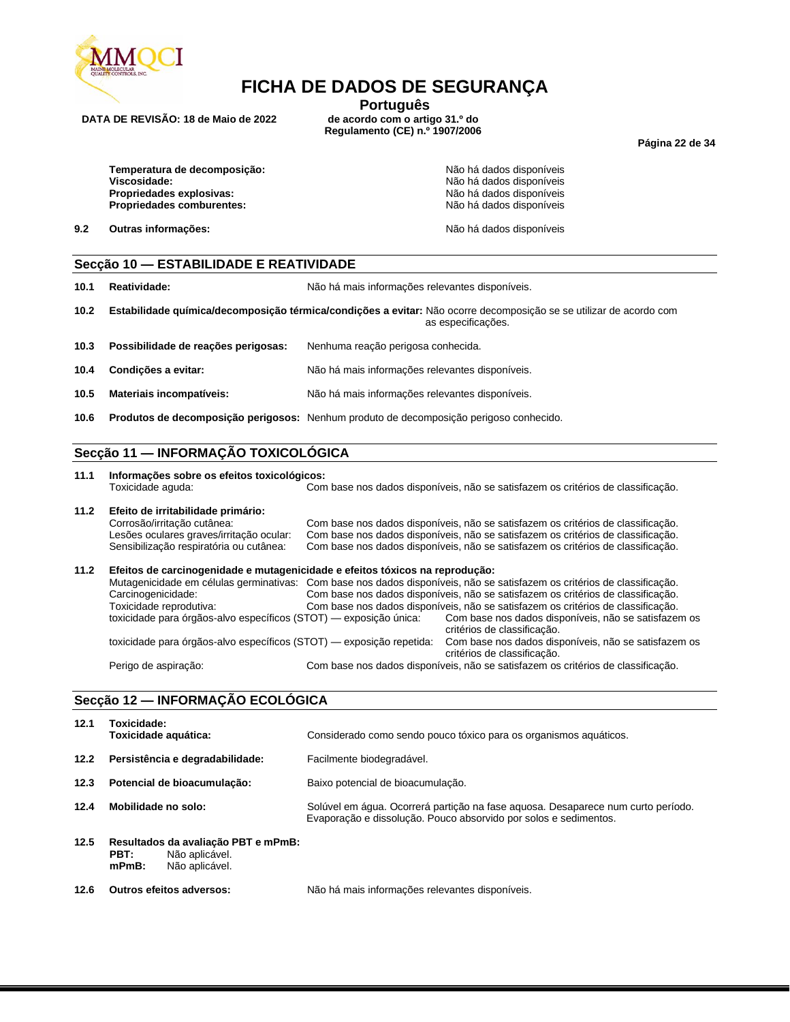

**DATA DE REVISÃO: 18 de Maio de 2022** 

**Português**<br>de acordo com o artigo 31.º do **Regulamento (CE) n.º 1907/2006**

**Página 22 de 34**

**Temperatura de decomposição:**  $\overline{a}$  **Não há dados disponíveis**<br> **Viscosidade:** Não há dados disponíveis **Propriedades explosivas:** Não há dados disponíveis<br> **Propriedades comburentes:** Não há dados disponíveis **Propriedades comburentes:** 

**9.2 Outras informações:**  $\bullet$  **N**  $\bullet$  **N**  $\bullet$  **N**  $\bullet$  **N**  $\bullet$  **N**  $\bullet$  dados disponíveis

**Viscosidade:** Não há dados disponíveis

#### **Secção 10 — ESTABILIDADE E REATIVIDADE**

**10.1 Reatividade:** Não há mais informações relevantes disponíveis.

- **10.2 Estabilidade química/decomposição térmica/condições a evitar:** Não ocorre decomposição se se utilizar de acordo com as especificações.
- **10.3 Possibilidade de reações perigosas:** Nenhuma reação perigosa conhecida.
- **10.4 Condições a evitar:** Não há mais informações relevantes disponíveis.
- **10.5 Materiais incompatíveis:** Não há mais informações relevantes disponíveis.
- **10.6 Produtos de decomposição perigosos:** Nenhum produto de decomposição perigoso conhecido.

### **Secção 11 — INFORMAÇÃO TOXICOLÓGICA**

**11.1 Informações sobre os efeitos toxicológicos:** Com base nos dados disponíveis, não se satisfazem os critérios de classificação.

#### **11.2 Efeito de irritabilidade primário:** Corrosão/irritação cutânea: Com base nos dados disponíveis, não se satisfazem os critérios de classificação.<br>Lesões oculares graves/irritação ocular: Com base nos dados disponíveis, não se satisfazem os critérios de classi Com base nos dados disponíveis, não se satisfazem os critérios de classificação. Sensibilização respiratória ou cutânea: Com base nos dados disponíveis, não se satisfazem os critérios de classificação.

| 11.2 | Efeitos de carcinogenidade e mutagenicidade e efeitos tóxicos na reprodução: | Mutagenicidade em células germinativas: Com base nos dados disponíveis, não se satisfazem os critérios de classificação. |
|------|------------------------------------------------------------------------------|--------------------------------------------------------------------------------------------------------------------------|
|      | Carcinogenicidade:                                                           | Com base nos dados disponíveis, não se satisfazem os critérios de classificação.                                         |
|      | Toxicidade reprodutiva:                                                      | Com base nos dados disponíveis, não se satisfazem os critérios de classificação.                                         |
|      | toxicidade para órgãos-alvo específicos (STOT) — exposição única:            | Com base nos dados disponíveis, não se satisfazem os<br>critérios de classificação.                                      |
|      | toxicidade para órgãos-alvo específicos (STOT) — exposição repetida:         | Com base nos dados disponíveis, não se satisfazem os<br>critérios de classificação.                                      |
|      | Perigo de aspiração:                                                         | Com base nos dados disponíveis, não se satisfazem os critérios de classificação.                                         |

## **Secção 12 — INFORMAÇÃO ECOLÓGICA**

| 12.1 | Toxicidade:<br>Toxicidade aquática:                                                         | Considerado como sendo pouco tóxico para os organismos aquáticos.                                                                                    |
|------|---------------------------------------------------------------------------------------------|------------------------------------------------------------------------------------------------------------------------------------------------------|
| 12.2 | Persistência e degradabilidade:                                                             | Facilmente biodegradável.                                                                                                                            |
| 12.3 | Potencial de bioacumulação:                                                                 | Baixo potencial de bioacumulação.                                                                                                                    |
| 12.4 | Mobilidade no solo:                                                                         | Solúvel em água. Ocorrerá partição na fase aguosa. Desaparece num curto período.<br>Evaporação e dissolução. Pouco absorvido por solos e sedimentos. |
| 12.5 | Resultados da avaliação PBT e mPmB:<br>Não aplicável.<br>PBT:<br>$mPmB$ :<br>Não aplicável. |                                                                                                                                                      |
| 12.6 | <b>Outros efeitos adversos:</b>                                                             | Não há mais informações relevantes disponíveis.                                                                                                      |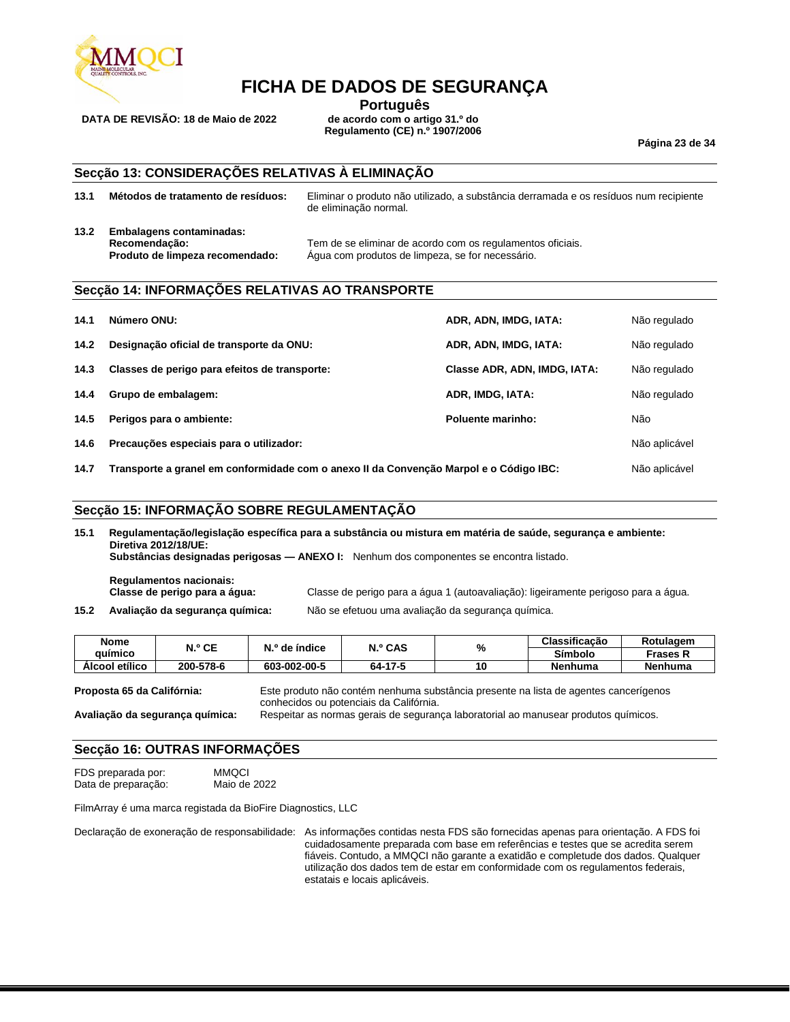

**DATA DE REVISÃO: 18 de Maio de 2022** 

**Português**<br>de acordo com o artigo 31.º do **Regulamento (CE) n.º 1907/2006**

**Página 23 de 34**

### **Secção 13: CONSIDERAÇÕES RELATIVAS À ELIMINAÇÃO**

- **13.1 Métodos de tratamento de resíduos:** Eliminar o produto não utilizado, a substância derramada e os resíduos num recipiente
- **13.2 Embalagens contaminadas:**

de eliminação normal.

**Recomendação:** Tem de se eliminar de acordo com os regulamentos oficiais. **Produto de limpeza recomendado:** Água com produtos de limpeza, se for necessário.

## **Secção 14: INFORMAÇÕES RELATIVAS AO TRANSPORTE**

| 14.1 | Número ONU:                                                                            | ADR, ADN, IMDG, IATA:        | Não regulado  |
|------|----------------------------------------------------------------------------------------|------------------------------|---------------|
| 14.2 | Designação oficial de transporte da ONU:                                               | ADR, ADN, IMDG, IATA:        | Não regulado  |
| 14.3 | Classes de perigo para efeitos de transporte:                                          | Classe ADR, ADN, IMDG, IATA: | Não regulado  |
| 14.4 | Grupo de embalagem:                                                                    | ADR, IMDG, IATA:             | Não regulado  |
| 14.5 | Perigos para o ambiente:                                                               | Poluente marinho:            | Não           |
| 14.6 | Precauções especiais para o utilizador:                                                |                              | Não aplicável |
| 14.7 | Transporte a granel em conformidade com o anexo II da Convenção Marpol e o Código IBC: |                              | Não aplicável |

### **Secção 15: INFORMAÇÃO SOBRE REGULAMENTAÇÃO**

**15.1 Regulamentação/legislação específica para a substância ou mistura em matéria de saúde, segurança e ambiente: Diretiva 2012/18/UE: Substâncias designadas perigosas — ANEXO I:** Nenhum dos componentes se encontra listado.

**Regulamentos nacionais:**

**Classe de perigo para a água:** Classe de perigo para a água 1 (autoavaliação): ligeiramente perigoso para a água. **15.2 Avaliação da segurança química:** Não se efetuou uma avaliação da segurança química.

| 15.2 |  | Avaliação da segurança química: |  |
|------|--|---------------------------------|--|
|------|--|---------------------------------|--|

| Nome           | N.º CE    | N.º de índice | N.º CAS | %  | Classificação | Rotulagem |
|----------------|-----------|---------------|---------|----|---------------|-----------|
| auímico        |           |               |         |    | Símbolo       | Frases R  |
| Álcool etílico | 200-578-6 | 603-002-00-5  | 64-17-5 | 10 | Nenhuma       | Nenhuma   |

**Proposta 65 da Califórnia:** Este produto não contém nenhuma substância presente na lista de agentes cancerígenos conhecidos ou potenciais da Califórnia. **Avaliação da segurança química:** Respeitar as normas gerais de segurança laboratorial ao manusear produtos químicos.

## **Secção 16: OUTRAS INFORMAÇÕES**

FDS preparada por: MMQCI Data de preparação:

FilmArray é uma marca registada da BioFire Diagnostics, LLC

Declaração de exoneração de responsabilidade: As informações contidas nesta FDS são fornecidas apenas para orientação. A FDS foi cuidadosamente preparada com base em referências e testes que se acredita serem fiáveis. Contudo, a MMQCI não garante a exatidão e completude dos dados. Qualquer utilização dos dados tem de estar em conformidade com os regulamentos federais, estatais e locais aplicáveis.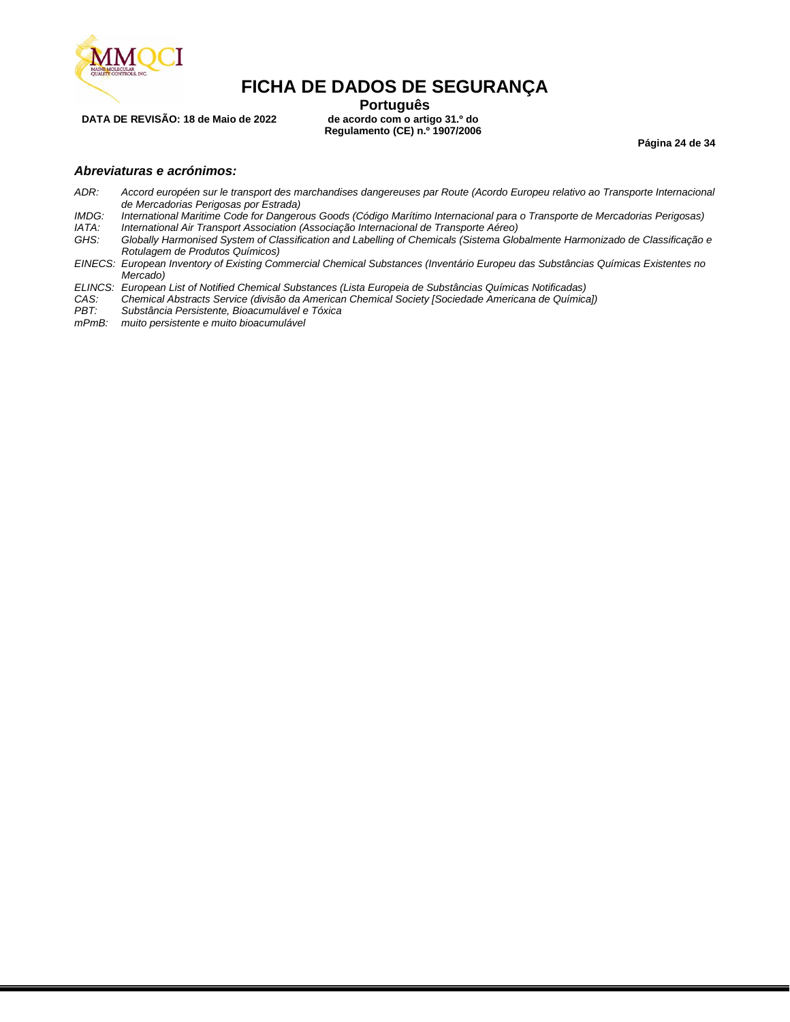

**DATA DE REVISÃO: 18 de Maio de 2022** 

**Português**<br>de acordo com o artigo 31.º do **Regulamento (CE) n.º 1907/2006**

**Página 24 de 34**

### *Abreviaturas e acrónimos:*

- *ADR: Accord européen sur le transport des marchandises dangereuses par Route (Acordo Europeu relativo ao Transporte Internacional de Mercadorias Perigosas por Estrada)*
- *IMDG: International Maritime Code for Dangerous Goods (Código Marítimo Internacional para o Transporte de Mercadorias Perigosas)*
- *IATA: International Air Transport Association (Associação Internacional de Transporte Aéreo) GHS: Globally Harmonised System of Classification and Labelling of Chemicals (Sistema Globalmente Harmonizado de Classificação e Rotulagem de Produtos Químicos)*
- *EINECS: European Inventory of Existing Commercial Chemical Substances (Inventário Europeu das Substâncias Químicas Existentes no Mercado)*
- *ELINCS: European List of Notified Chemical Substances (Lista Europeia de Substâncias Químicas Notificadas)*
- *CAS: Chemical Abstracts Service (divisão da American Chemical Society [Sociedade Americana de Química])*
- *PBT: Substância Persistente, Bioacumulável e Tóxica*
- *mPmB: muito persistente e muito bioacumulável*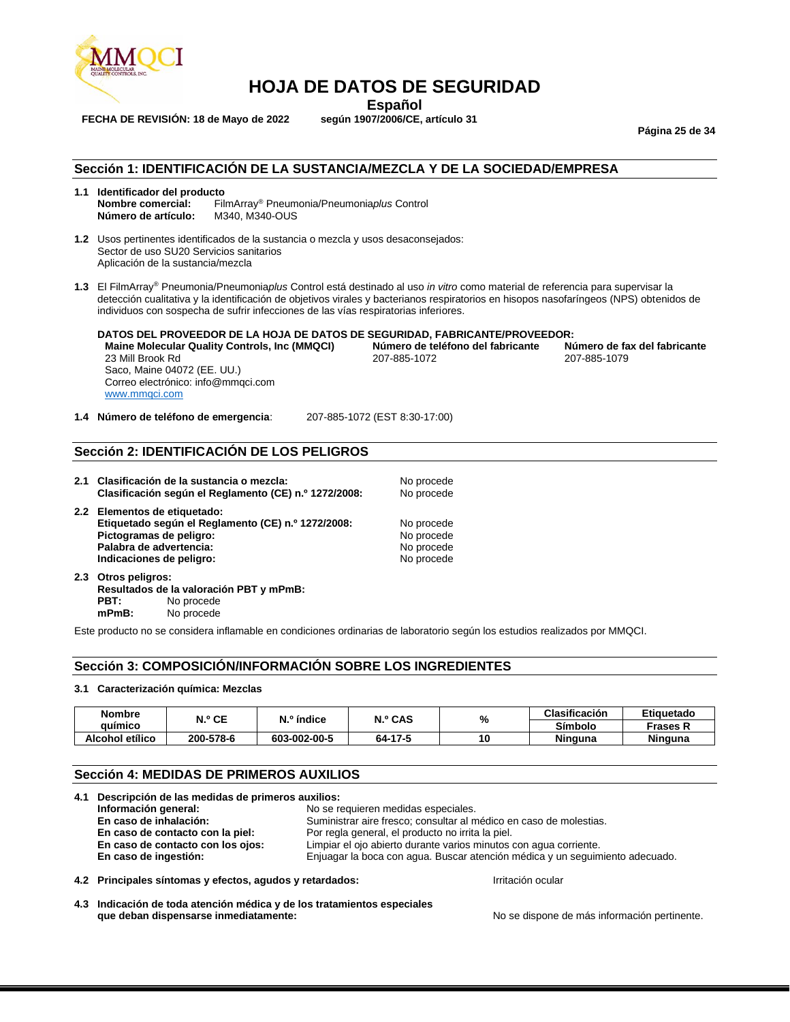

**Español**<br>**Español** según 1907/2006/CE, artículo 31

**FECHA DE REVISIÓN: 18 de Mayo de 2022** 

**Página 25 de 34**

### **Sección 1: IDENTIFICACIÓN DE LA SUSTANCIA/MEZCLA Y DE LA SOCIEDAD/EMPRESA**

- **1.1 Identificador del producto Nombre comercial:** FilmArray® Pneumonia/Pneumonia*plus* Control **Número de artículo:** M340, M340-OUS
- **1.2** Usos pertinentes identificados de la sustancia o mezcla y usos desaconsejados: Sector de uso SU20 Servicios sanitarios Aplicación de la sustancia/mezcla
- **1.3** El FilmArray® Pneumonia/Pneumonia*plus* Control está destinado al uso *in vitro* como material de referencia para supervisar la detección cualitativa y la identificación de objetivos virales y bacterianos respiratorios en hisopos nasofaríngeos (NPS) obtenidos de individuos con sospecha de sufrir infecciones de las vías respiratorias inferiores.

**DATOS DEL PROVEEDOR DE LA HOJA DE DATOS DE SEGURIDAD, FABRICANTE/PROVEEDOR: Maine Molecular Quality Controls, Inc (MMQCI) Número de teléfono del fabricante Número de teléfono del fabricante**<br>207-885-1072 23 Mill Brook Rd 207-885-1072 207-885-1079 Saco, Maine 04072 (EE. UU.) Correo electrónico: info@mmqci.com [www.mmqci.com](http://www.mmqci.com/)

**1.4 Número de teléfono de emergencia**: 207-885-1072 (EST 8:30-17:00)

#### **Sección 2: IDENTIFICACIÓN DE LOS PELIGROS**

**2.1 Clasificación de la sustancia o mezcla:** No procede **Clasificación según el Reglamento (CE) n.º 1272/2008:** No procede **2.2 Elementos de etiquetado: Etiquetado según el Reglamento (CE) n.º 1272/2008:** No procede **Pictogramas de peligro:** No procede **Palabra de advertencia:** No procede **Palabra de advertencia:** No procede **No procede Palabra de advertencia:** No procede indicaciones de peligro:<br> **Indicaciones de peligro:** No procede indicaciones de peligro:

**2.3 Otros peligros: Resultados de la valoración PBT y mPmB:** No procede **mPmB:** No procede

Este producto no se considera inflamable en condiciones ordinarias de laboratorio según los estudios realizados por MMQCI.

#### **Sección 3: COMPOSICIÓN/INFORMACIÓN SOBRE LOS INGREDIENTES**

#### **3.1 Caracterización química: Mezclas**

**Indicaciones de peligro:** 

| <b>Nombre</b>   | N.º CE    | N.º índice   | N.º CAS | %  | Clasificación  | Etiauetado      |
|-----------------|-----------|--------------|---------|----|----------------|-----------------|
| quimico         |           |              |         |    | Símbolo        | <b>Frases K</b> |
| Alcohol etílico | 200-578-6 | 603-002-00-5 | 64-17-5 | 10 | <b>Ninguna</b> | <b>Ninguna</b>  |

## **Sección 4: MEDIDAS DE PRIMEROS AUXILIOS**

| 4.1 Descripción de las medidas de primeros auxilios:                                         |                                                                              |  |
|----------------------------------------------------------------------------------------------|------------------------------------------------------------------------------|--|
| Información general:<br>No se requieren medidas especiales.                                  |                                                                              |  |
| Suministrar aire fresco; consultar al médico en caso de molestias.<br>En caso de inhalación: |                                                                              |  |
| Por regla general, el producto no irrita la piel.<br>En caso de contacto con la piel:        |                                                                              |  |
| En caso de contacto con los ojos:                                                            | Limpiar el ojo abierto durante varios minutos con agua corriente.            |  |
| En caso de ingestión:                                                                        | Enjuagar la boca con agua. Buscar atención médica y un seguimiento adecuado. |  |
|                                                                                              |                                                                              |  |

**4.2 Principales síntomas y efectos, agudos y retardados:** Irritación ocular

**4.3 Indicación de toda atención médica y de los tratamientos especiales que deban dispensarse inmediatamente:** No se dispone de más información pertinente.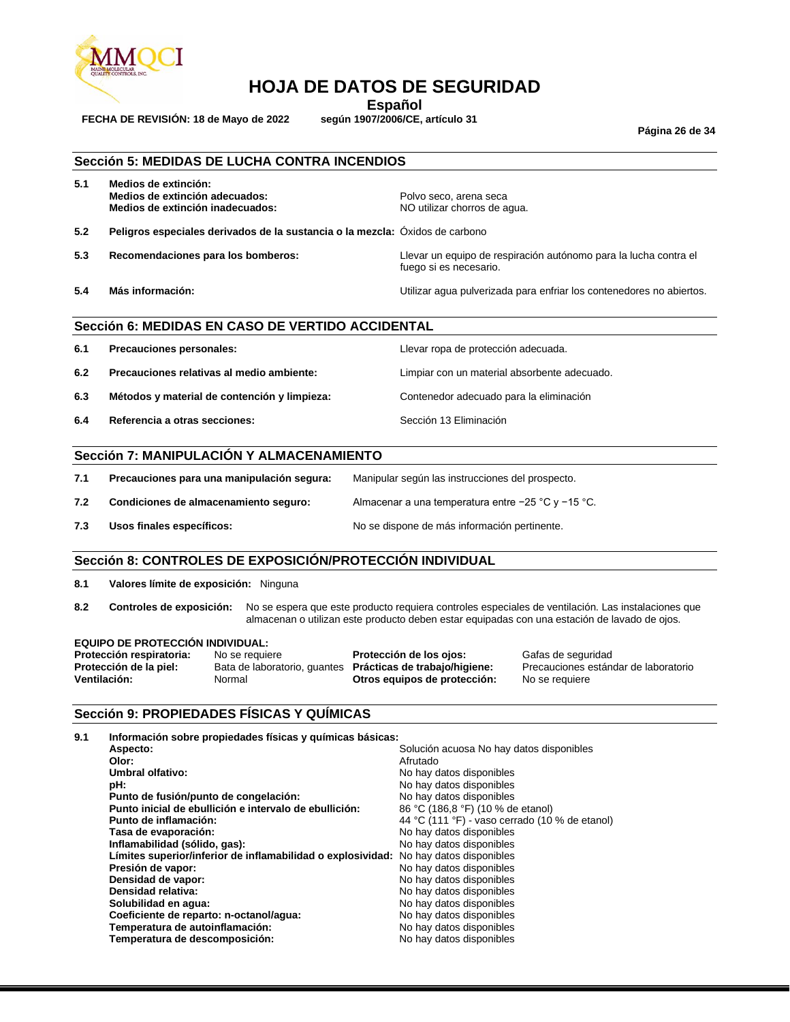

**FECHA DE REVISIÓN: 18 de Mayo de 2022 según 1907/2006/CE, artículo 31**

**Español**<br>**según 1907/2006/CE**, artículo 31

**Página 26 de 34**

### **Sección 5: MEDIDAS DE LUCHA CONTRA INCENDIOS**

| 5.1 | Medios de extinción:<br>Medios de extinción adecuados:<br>Medios de extinción inadecuados: | Polvo seco, arena seca<br>NO utilizar chorros de aqua.                                     |
|-----|--------------------------------------------------------------------------------------------|--------------------------------------------------------------------------------------------|
| 5.2 | Peligros especiales derivados de la sustancia o la mezcla: Oxidos de carbono               |                                                                                            |
| 5.3 | Recomendaciones para los bomberos:                                                         | Llevar un equipo de respiración autónomo para la lucha contra el<br>fuego si es necesario. |
| 5.4 | Más información:                                                                           | Utilizar agua pulverizada para enfriar los contenedores no abiertos.                       |

## **Sección 6: MEDIDAS EN CASO DE VERTIDO ACCIDENTAL**

| 6.1 | <b>Precauciones personales:</b>              | Llevar ropa de protección adecuada.          |
|-----|----------------------------------------------|----------------------------------------------|
| 6.2 | Precauciones relativas al medio ambiente:    | Limpiar con un material absorbente adecuado. |
| 6.3 | Métodos y material de contención y limpieza: | Contenedor adecuado para la eliminación      |
| 6.4 | Referencia a otras secciones:                | Sección 13 Eliminación                       |

## **Sección 7: MANIPULACIÓN Y ALMACENAMIENTO**

| 7.1 | Precauciones para una manipulación segura: | Manipular según las instrucciones del prospecto.       |
|-----|--------------------------------------------|--------------------------------------------------------|
| 7.2 | Condiciones de almacenamiento seguro:      | Almacenar a una temperatura entre $-25$ °C y $-15$ °C. |
| 7.3 | Usos finales específicos:                  | No se dispone de más información pertinente.           |

### **Sección 8: CONTROLES DE EXPOSICIÓN/PROTECCIÓN INDIVIDUAL**

**8.1 Valores límite de exposición:** Ninguna

**8.2 Controles de exposición:** No se espera que este producto requiera controles especiales de ventilación. Las instalaciones que almacenan o utilizan este producto deben estar equipadas con una estación de lavado de ojos.

### **EQUIPO DE PROTECCIÓN INDIVIDUAL:**

| Protección respiratoria: | No se requiere | Protección de los ojos:                                           | Gafas de seguridad                   |
|--------------------------|----------------|-------------------------------------------------------------------|--------------------------------------|
| Protección de la piel:   |                | Bata de laboratorio, quantes <b>Prácticas de trabajo/higiene:</b> | Precauciones estándar de laboratorio |
| Ventilación:             | Normal         | Otros equipos de protección:                                      | No se requiere                       |
|                          |                |                                                                   |                                      |

### **Sección 9: PROPIEDADES FÍSICAS Y QUÍMICAS**

| 9.1 | Información sobre propiedades físicas y químicas básicas:                            |                                                |  |
|-----|--------------------------------------------------------------------------------------|------------------------------------------------|--|
|     | Aspecto:                                                                             | Solución acuosa No hay datos disponibles       |  |
|     | Olor:                                                                                | Afrutado                                       |  |
|     | <b>Umbral olfativo:</b>                                                              | No hay datos disponibles                       |  |
|     | pH:                                                                                  | No hay datos disponibles                       |  |
|     | Punto de fusión/punto de congelación:                                                | No hay datos disponibles                       |  |
|     | Punto inicial de ebullición e intervalo de ebullición:                               | 86 °C (186,8 °F) (10 % de etanol)              |  |
|     | Punto de inflamación:                                                                | 44 °C (111 °F) - vaso cerrado (10 % de etanol) |  |
|     | Tasa de evaporación:                                                                 | No hay datos disponibles                       |  |
|     | Inflamabilidad (sólido, gas):                                                        | No hay datos disponibles                       |  |
|     | Límites superior/inferior de inflamabilidad o explosividad: No hay datos disponibles |                                                |  |
|     | Presión de vapor:                                                                    | No hay datos disponibles                       |  |
|     | Densidad de vapor:                                                                   | No hay datos disponibles                       |  |
|     | Densidad relativa:                                                                   | No hay datos disponibles                       |  |
|     | Solubilidad en agua:                                                                 | No hay datos disponibles                       |  |
|     | Coeficiente de reparto: n-octanol/agua:                                              | No hay datos disponibles                       |  |
|     | Temperatura de autoinflamación:                                                      | No hay datos disponibles                       |  |
|     | Temperatura de descomposición:                                                       | No hay datos disponibles                       |  |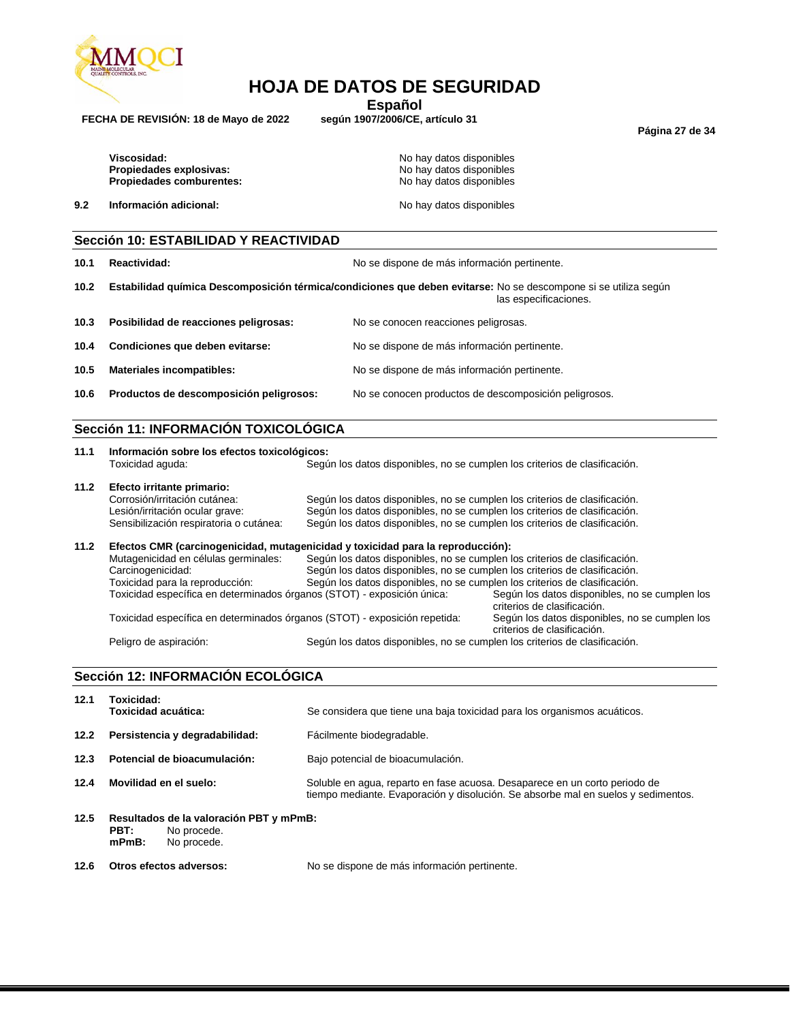

**Español**<br>**según 1907/2006/CE**, artículo 31

**FECHA DE REVISIÓN: 18 de Mayo de 2022 según 1907/2006/CE, artículo 31**

**Página 27 de 34**

Viscosidad: Viscosidad: No hay datos disponibles **Propiedades explosivas:** No hay datos disponibles<br> **Propiedades comburentes:** No hay datos disponibles Propiedades comburentes:

**9.2 Información adicional: No hay datos disponibles No hay datos disponibles** 

## **Sección 10: ESTABILIDAD Y REACTIVIDAD**

**10.1 Reactividad:** No se dispone de más información pertinente. **10.2 Estabilidad química Descomposición térmica/condiciones que deben evitarse:** No se descompone si se utiliza según las especificaciones. **10.3 Posibilidad de reacciones peligrosas:** No se conocen reacciones peligrosas. **10.4 Condiciones que deben evitarse:** No se dispone de más información pertinente. **10.5 Materiales incompatibles:** No se dispone de más información pertinente. **10.6 Productos de descomposición peligrosos:** No se conocen productos de descomposición peligrosos.

## **Sección 11: INFORMACIÓN TOXICOLÓGICA**

| 11.1 | Información sobre los efectos toxicológicos:                                    |                                                                            |                                                                               |  |  |
|------|---------------------------------------------------------------------------------|----------------------------------------------------------------------------|-------------------------------------------------------------------------------|--|--|
|      | Toxicidad aguda:                                                                | Según los datos disponibles, no se cumplen los criterios de clasificación. |                                                                               |  |  |
| 11.2 | Efecto irritante primario:                                                      |                                                                            |                                                                               |  |  |
|      | Corrosión/irritación cutánea:                                                   | Según los datos disponibles, no se cumplen los criterios de clasificación. |                                                                               |  |  |
|      | Lesión/irritación ocular grave:                                                 | Según los datos disponibles, no se cumplen los criterios de clasificación. |                                                                               |  |  |
|      | Sensibilización respiratoria o cutánea:                                         | Según los datos disponibles, no se cumplen los criterios de clasificación. |                                                                               |  |  |
| 11.2 | Efectos CMR (carcinogenicidad, mutagenicidad y toxicidad para la reproducción): |                                                                            |                                                                               |  |  |
|      | Mutagenicidad en células germinales:                                            | Según los datos disponibles, no se cumplen los criterios de clasificación. |                                                                               |  |  |
|      | Carcinogenicidad:                                                               | Según los datos disponibles, no se cumplen los criterios de clasificación. |                                                                               |  |  |
|      | Toxicidad para la reproducción:                                                 | Según los datos disponibles, no se cumplen los criterios de clasificación. |                                                                               |  |  |
|      | Toxicidad específica en determinados órganos (STOT) - exposición única:         |                                                                            | Según los datos disponibles, no se cumplen los<br>criterios de clasificación. |  |  |
|      | Toxicidad específica en determinados órganos (STOT) - exposición repetida:      |                                                                            | Según los datos disponibles, no se cumplen los<br>criterios de clasificación. |  |  |
|      | Peligro de aspiración:                                                          | Según los datos disponibles, no se cumplen los criterios de clasificación. |                                                                               |  |  |

## **Sección 12: INFORMACIÓN ECOLÓGICA**

| 12.1 | Toxicidad:<br>Toxicidad acuática:                                                         | Se considera que tiene una baja toxicidad para los organismos acuáticos.                                                                                        |
|------|-------------------------------------------------------------------------------------------|-----------------------------------------------------------------------------------------------------------------------------------------------------------------|
| 12.2 | Persistencia y degradabilidad:                                                            | Fácilmente biodegradable.                                                                                                                                       |
| 12.3 | Potencial de bioacumulación:                                                              | Bajo potencial de bioacumulación.                                                                                                                               |
| 12.4 | Movilidad en el suelo:                                                                    | Soluble en aqua, reparto en fase acuosa. Desaparece en un corto periodo de<br>tiempo mediante. Evaporación y disolución. Se absorbe mal en suelos y sedimentos. |
| 12.5 | Resultados de la valoración PBT y mPmB:<br>No procede.<br>PBT:<br>$mPmB$ :<br>No procede. |                                                                                                                                                                 |

**12.6 Otros efectos adversos:** No se dispone de más información pertinente.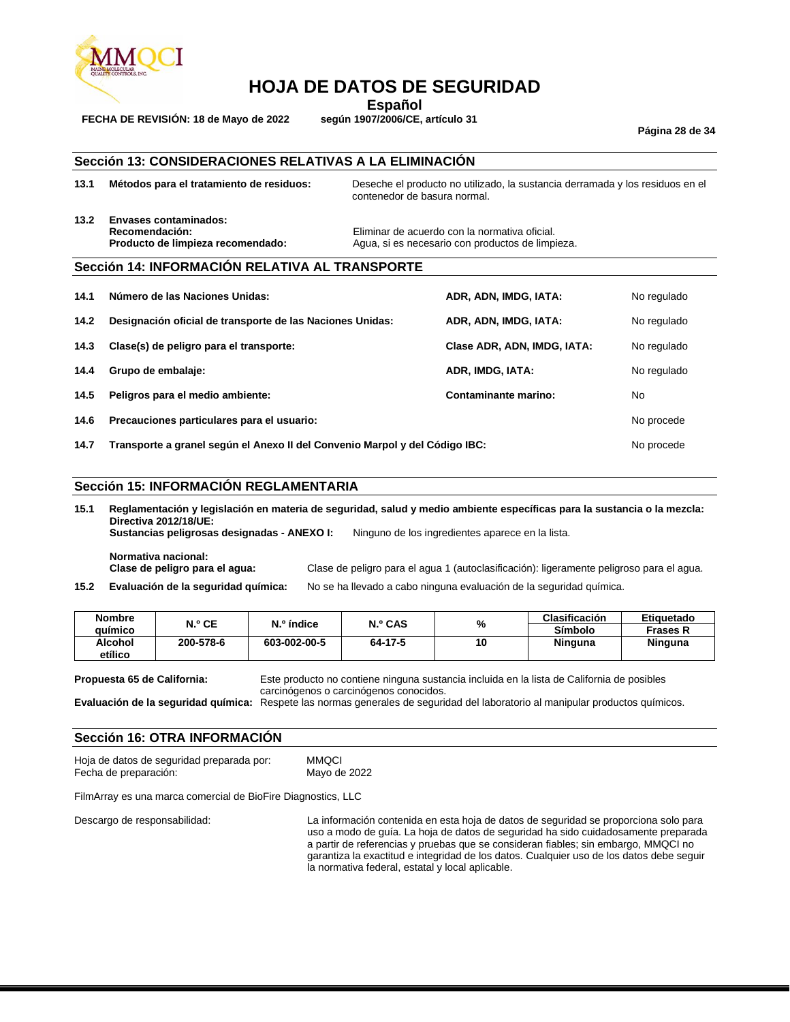

**FECHA DE REVISIÓN: 18 de Mayo de 2022** 

**Español**<br>**según 1907/2006/CE**, artículo 31

**Página 28 de 34**

## **Sección 13: CONSIDERACIONES RELATIVAS A LA ELIMINACIÓN**

- **13.1 Métodos para el tratamiento de residuos:** Deseche el producto no utilizado, la sustancia derramada y los residuos en el contenedor de basura normal.
- **13.2 Envases contaminados:**

**Recomendación:** Eliminar de acuerdo con la normativa oficial. **Producto de limpieza recomendado:** Agua, si es necesario con productos de limpieza.

#### **Sección 14: INFORMACIÓN RELATIVA AL TRANSPORTE**

| 14.1 | Número de las Naciones Unidas:                                              | ADR, ADN, IMDG, IATA:       | No regulado |
|------|-----------------------------------------------------------------------------|-----------------------------|-------------|
| 14.2 | Designación oficial de transporte de las Naciones Unidas:                   | ADR, ADN, IMDG, IATA:       | No regulado |
| 14.3 | Clase(s) de peligro para el transporte:                                     | Clase ADR, ADN, IMDG, IATA: | No regulado |
| 14.4 | Grupo de embalaje:                                                          | ADR, IMDG, IATA:            | No regulado |
| 14.5 | Peligros para el medio ambiente:                                            | Contaminante marino:        | No.         |
| 14.6 | Precauciones particulares para el usuario:                                  |                             |             |
| 14.7 | Transporte a granel según el Anexo II del Convenio Marpol y del Código IBC: |                             |             |

#### **Sección 15: INFORMACIÓN REGLAMENTARIA**

**15.1 Reglamentación y legislación en materia de seguridad, salud y medio ambiente específicas para la sustancia o la mezcla: Directiva 2012/18/UE: Sustancias peligrosas designadas - ANEXO I:** Ninguno de los ingredientes aparece en la lista.

**Normativa nacional:** Clase de peligro para el agua 1 (autoclasificación): ligeramente peligroso para el agua. **15.2 Evaluación de la seguridad química:** No se ha llevado a cabo ninguna evaluación de la seguridad química.

| <b>Nombre</b> | N.º CE    | $No$ índice  | <b>N.º CAS</b> | %  | Clasificación | Etiguetado      |
|---------------|-----------|--------------|----------------|----|---------------|-----------------|
| auímico       |           |              |                |    | Símbolo       | <b>Frases R</b> |
| Alcohol       | 200-578-6 | 603-002-00-5 | 64-17-5        | 10 | Ninguna       | Ninguna         |
| etílico       |           |              |                |    |               |                 |

**Propuesta 65 de California:** Este producto no contiene ninguna sustancia incluida en la lista de California de posibles carcinógenos o carcinógenos conocidos.

**Evaluación de la seguridad química:** Respete las normas generales de seguridad del laboratorio al manipular productos químicos.

### **Sección 16: OTRA INFORMACIÓN**

| Hoja de datos de seguridad preparada por: | <b>MMQCI</b> |
|-------------------------------------------|--------------|
| Fecha de preparación:                     | Mayo de 2022 |

FilmArray es una marca comercial de BioFire Diagnostics, LLC

Descargo de responsabilidad: La información contenida en esta hoja de datos de seguridad se proporciona solo para uso a modo de guía. La hoja de datos de seguridad ha sido cuidadosamente preparada a partir de referencias y pruebas que se consideran fiables; sin embargo, MMQCI no garantiza la exactitud e integridad de los datos. Cualquier uso de los datos debe seguir la normativa federal, estatal y local aplicable.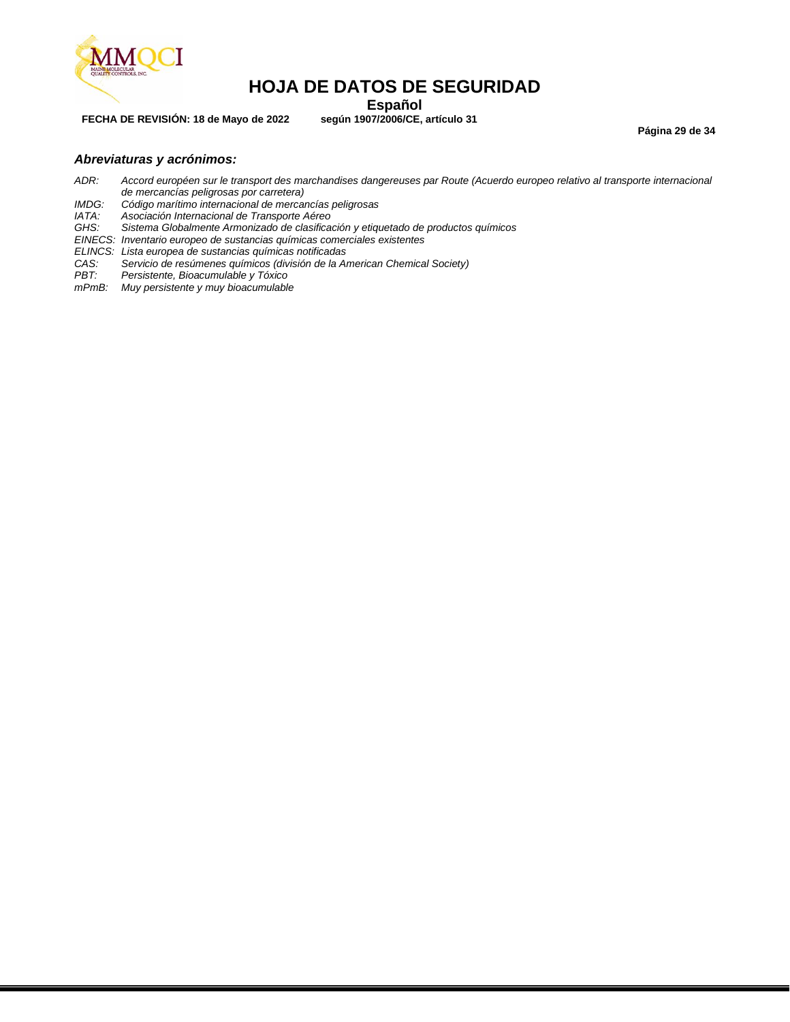

**FECHA DE REVISIÓN: 18 de Mayo de 2022 según 1907/2006/CE, artículo 31**

**Español**<br>**Español** según 1907/2006/CE, artículo 31

**Página 29 de 34**

### *Abreviaturas y acrónimos:*

- *ADR: Accord européen sur le transport des marchandises dangereuses par Route (Acuerdo europeo relativo al transporte internacional de mercancías peligrosas por carretera)*
- *IMDG: Código marítimo internacional de mercancías peligrosas*
- *IATA: Asociación Internacional de Transporte Aéreo*
- *GHS: Sistema Globalmente Armonizado de clasificación y etiquetado de productos químicos*
- *EINECS: Inventario europeo de sustancias químicas comerciales existentes*
- *ELINCS: Lista europea de sustancias químicas notificadas*
- *CAS: Servicio de resúmenes químicos (división de la American Chemical Society)*
- *PBT: Persistente, Bioacumulable y Tóxico*
- *mPmB: Muy persistente y muy bioacumulable*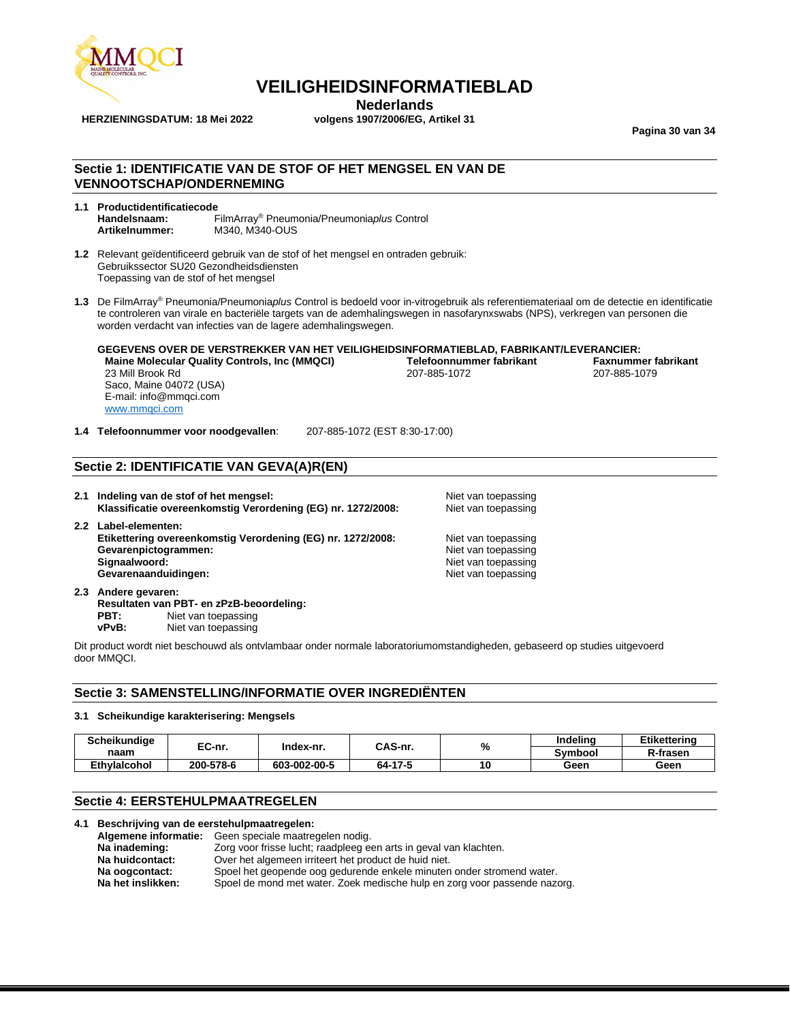

**HERZIENINGSDATUM: 18 Mei 2022** 

# **Nederlands**<br>volgens 1907/2006/EG, Artikel 31

**Pagina 30 van 34**

## **Sectie 1: IDENTIFICATIE VAN DE STOF OF HET MENGSEL EN VAN DE VENNOOTSCHAP/ONDERNEMING**

- **1.1 Productidentificatiecode Handelsnaam:** FilmArray® Pneumonia/Pneumonia*plus* Control **Artikelnummer:** M340, M340-OUS
- **1.2** Relevant geïdentificeerd gebruik van de stof of het mengsel en ontraden gebruik: Gebruikssector SU20 Gezondheidsdiensten Toepassing van de stof of het mengsel
- **1.3** De FilmArray® Pneumonia/Pneumonia*plus* Control is bedoeld voor in-vitrogebruik als referentiemateriaal om de detectie en identificatie te controleren van virale en bacteriële targets van de ademhalingswegen in nasofarynxswabs (NPS), verkregen van personen die worden verdacht van infecties van de lagere ademhalingswegen.

#### **GEGEVENS OVER DE VERSTREKKER VAN HET VEILIGHEIDSINFORMATIEBLAD, FABRIKANT/LEVERANCIER: Maine Molecular Quality Controls, Inc (MMQCI) Telefoonnummer fabrikant Faxnummer fabrikant** 23 Mill Brook Rd Saco, Maine 04072 (USA) E-mail: info@mmqci.com [www.mmqci.com](http://www.mmqci.com/)

**1.4 Telefoonnummer voor noodgevallen**: 207-885-1072 (EST 8:30-17:00)

## **Sectie 2: IDENTIFICATIE VAN GEVA(A)R(EN)**

**2.1 Indeling van de stof of het mengsel:** Niet van toepassing **Klassificatie overeenkomstig Verordening (EG) nr. 1272/2008:** Niet van toepassing **2.2 Label-elementen: Etikettering overeenkomstig Verordening (EG) nr. 1272/2008:** Niet van toepassing **Gevarenpictogrammen:** Niet van toepassing<br> **Signaalwoord:** Niet van toepassing<br>
Niet van toepassing **Niet van toepassing Gevarenaanduidingen:** Niet van toepassing

**2.3 Andere gevaren: Resultaten van PBT- en zPzB-beoordeling: PBT:** Niet van toepassing **vPvB:** Niet van toepassing

Dit product wordt niet beschouwd als ontvlambaar onder normale laboratoriumomstandigheden, gebaseerd op studies uitgevoerd door MMQCI.

#### **Sectie 3: SAMENSTELLING/INFORMATIE OVER INGREDIËNTEN**

#### **3.1 Scheikundige karakterisering: Mengsels**

| <b>Scheikundiae</b> | EC-nr.    | Index-nr.    | CAS-nr. |    | %              | Indeling | <b>Etikettering</b> |
|---------------------|-----------|--------------|---------|----|----------------|----------|---------------------|
| naam                |           |              |         |    | <b>Symbool</b> | R-frasen |                     |
| <b>Ethvlaicohol</b> | 200-578-6 | 603-002-00-5 | 64-17-5 | 10 | Geen           | Geen     |                     |

### **Sectie 4: EERSTEHULPMAATREGELEN**

#### **4.1 Beschrijving van de eerstehulpmaatregelen:**

| Algemene informatie: | Geen speciale maatregelen nodig.                                          |
|----------------------|---------------------------------------------------------------------------|
| Na inademing:        | Zorg voor frisse lucht; raadpleeg een arts in geval van klachten.         |
| Na huidcontact:      | Over het algemeen irriteert het product de huid niet.                     |
| Na oogcontact:       | Spoel het geopende oog gedurende enkele minuten onder stromend water.     |
| Na het inslikken:    | Spoel de mond met water. Zoek medische hulp en zorg voor passende nazorg. |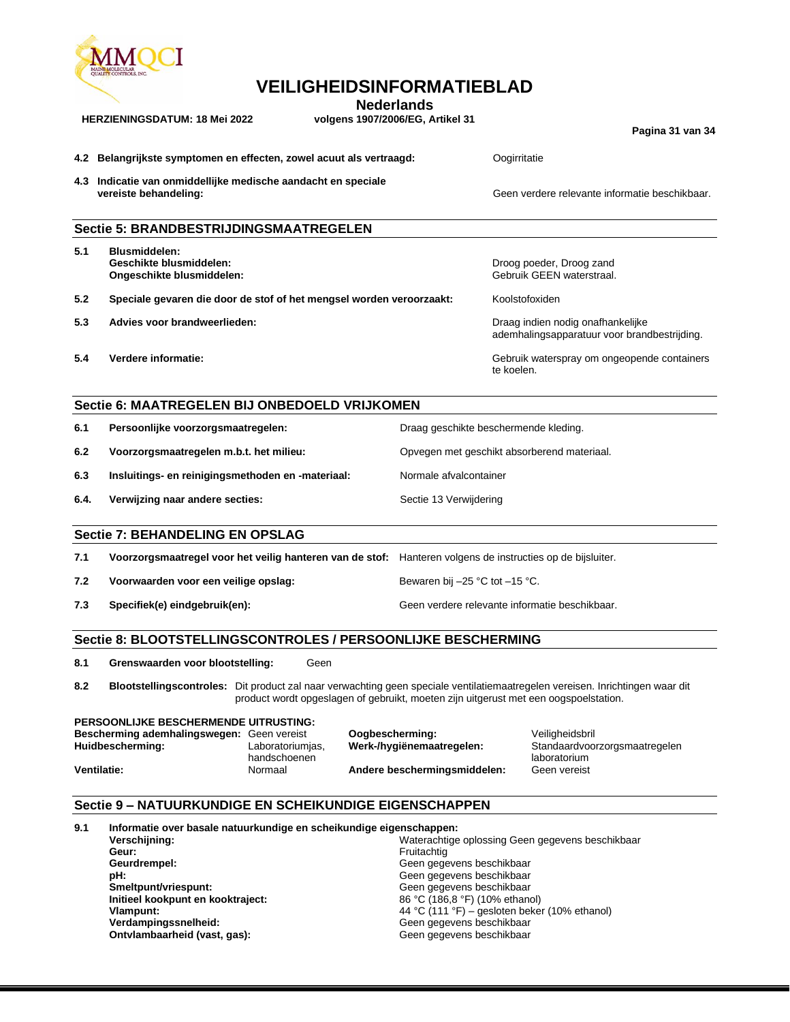

**Nederlands**

**HERZIENINGSDATUM: 18 Mei 2022 volgens 1907/2006/EG, Artikel 31**

**Pagina 31 van 34**

| 4.2 Belangrijkste symptomen en effecten, zowel acuut als vertraagd: | Oogirritatie |
|---------------------------------------------------------------------|--------------|
|                                                                     |              |

**4.3 Indicatie van onmiddellijke medische aandacht en speciale vereiste behandeling:** Geen verdere relevante informatie beschikbaar.

#### **Sectie 5: BRANDBESTRIJDINGSMAATREGELEN**

| 5.1 | <b>Blusmiddelen:</b>      |
|-----|---------------------------|
|     | Geschikte blusmiddelen:   |
|     | Ongeschikte blusmiddelen: |

- **5.2 Speciale gevaren die door de stof of het mengsel worden veroorzaakt:** Koolstofoxiden
- **5.3 Advies voor brandweerlieden:** Draag indien nodig onafhankelijke
- 

#### Droog poeder, Droog zand Gebruik GEEN waterstraal.

ademhalingsapparatuur voor brandbestrijding.

**5.4 Verdere informatie:** Gebruik waterspray om ongeopende containers te koelen.

### **Sectie 6: MAATREGELEN BIJ ONBEDOELD VRIJKOMEN**

**6.1 Persoonlijke voorzorgsmaatregelen:** Draag geschikte beschermende kleding.

**6.2 Voorzorgsmaatregelen m.b.t. het milieu:** Opvegen met geschikt absorberend materiaal.

**6.3 Insluitings- en reinigingsmethoden en -materiaal:** Normale afvalcontainer

**6.4. Verwijzing naar andere secties: Sectie 13 Verwijdering Sectie 13 Verwijdering** 

#### **Sectie 7: BEHANDELING EN OPSLAG**

| 7.1 | Voorzorgsmaatregel voor het veilig hanteren van de stof: Hanteren volgens de instructies op de bijsluiter. |                                                |
|-----|------------------------------------------------------------------------------------------------------------|------------------------------------------------|
| 7.2 | Voorwaarden voor een veilige opslag:                                                                       | Bewaren bij $-25$ °C tot $-15$ °C.             |
| 7.3 | Specifiek(e) eindgebruik(en):                                                                              | Geen verdere relevante informatie beschikbaar. |

#### **Sectie 8: BLOOTSTELLINGSCONTROLES / PERSOONLIJKE BESCHERMING**

**8.1 Grenswaarden voor blootstelling:** Geen

**8.2 Blootstellingscontroles:** Dit product zal naar verwachting geen speciale ventilatiemaatregelen vereisen. Inrichtingen waar dit product wordt opgeslagen of gebruikt, moeten zijn uitgerust met een oogspoelstation.

**PERSOONLIJKE BESCHERMENDE UITRUSTING: Bescherming ademhalingswegen:** Geen vereist **Oogbescherming:** Veiligheidsbril **Huidbescherming:** Laboratoriumjas, handschoenen **Ventilatie:** Normaal **Andere beschermingsmiddelen:** Geen vereist

Standaardvoorzorgsmaatregelen laboratorium

## **Sectie 9 – NATUURKUNDIGE EN SCHEIKUNDIGE EIGENSCHAPPEN**

| 9.1 | Informatie over basale natuurkundige en scheikundige eigenschappen: |                                                  |  |  |
|-----|---------------------------------------------------------------------|--------------------------------------------------|--|--|
|     | Verschijning:                                                       | Waterachtige oplossing Geen gegevens beschikbaar |  |  |
|     | Geur:                                                               | Fruitachtig                                      |  |  |
|     | Geurdrempel:                                                        | Geen gegevens beschikbaar                        |  |  |
|     | pH:                                                                 | Geen gegevens beschikbaar                        |  |  |
|     | Smeltpunt/vriespunt:                                                | Geen gegevens beschikbaar                        |  |  |
|     | Initieel kookpunt en kooktraject:                                   | 86 °C (186,8 °F) (10% ethanol)                   |  |  |
|     | Vlampunt:                                                           | 44 °C (111 °F) – gesloten beker (10% ethanol)    |  |  |
|     | Verdampingssnelheid:                                                | Geen gegevens beschikbaar                        |  |  |
|     | Ontvlambaarheid (vast, gas):                                        | Geen gegevens beschikbaar                        |  |  |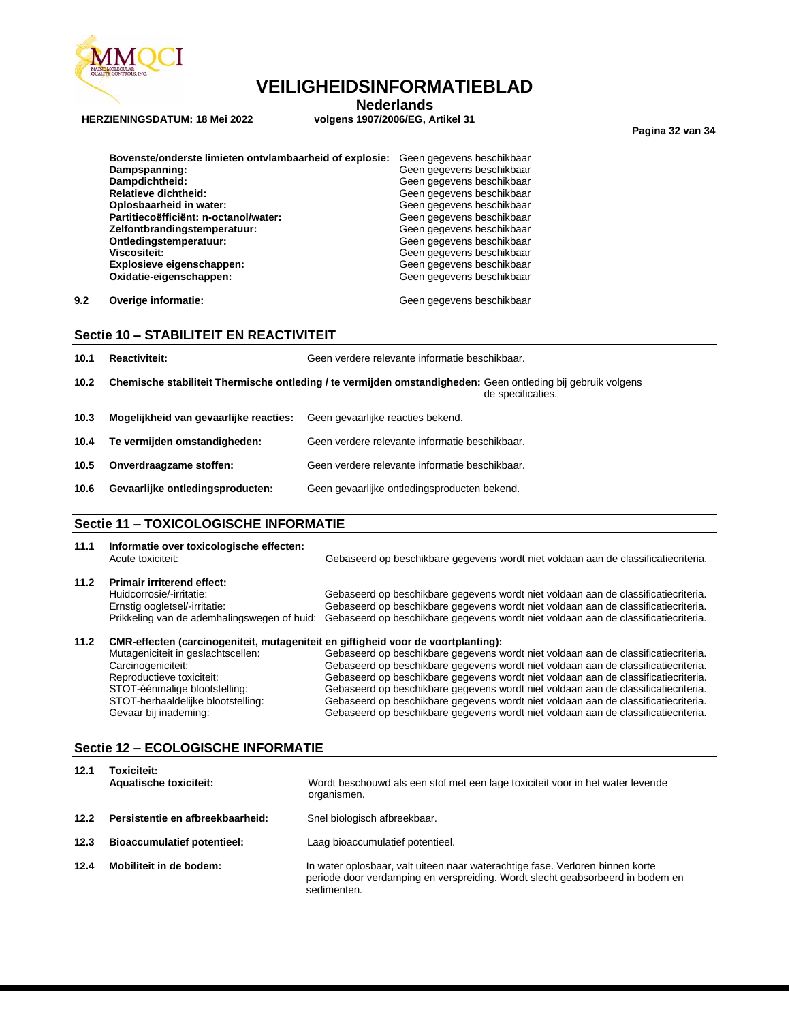

**HERZIENINGSDATUM: 18 Mei 2022** 

**Nederlands**<br>volgens 1907/2006/EG, Artikel 31

**Pagina 32 van 34**

| Bovenste/onderste limieten ontvlambaarheid of explosie: | Geen gegevens beschikbaar |
|---------------------------------------------------------|---------------------------|
| Dampspanning:                                           | Geen gegevens beschikbaar |
| Dampdichtheid:                                          | Geen gegevens beschikbaar |
| Relatieve dichtheid:                                    | Geen gegevens beschikbaar |
| Oplosbaarheid in water:                                 | Geen gegevens beschikbaar |
| Partitiecoëfficiënt: n-octanol/water:                   | Geen gegevens beschikbaar |
| Zelfontbrandingstemperatuur:                            | Geen gegevens beschikbaar |
| Ontledingstemperatuur:                                  | Geen gegevens beschikbaar |
| <b>Viscositeit:</b>                                     | Geen gegevens beschikbaar |
| Explosieve eigenschappen:                               | Geen gegevens beschikbaar |
| Oxidatie-eigenschappen:                                 | Geen gegevens beschikbaar |
|                                                         |                           |

**9.2 Overige informatie: Geen gegevens beschikbaar Geen gegevens beschikbaar** 

| Sectie 10 - STABILITEIT EN REACTIVITEIT |  |
|-----------------------------------------|--|
|-----------------------------------------|--|

| 10.1              | <b>Reactiviteit:</b>                                                                                                              | Geen verdere relevante informatie beschikbaar. |  |
|-------------------|-----------------------------------------------------------------------------------------------------------------------------------|------------------------------------------------|--|
| 10.2 <sub>1</sub> | Chemische stabiliteit Thermische ontleding / te vermijden omstandigheden: Geen ontleding bij gebruik volgens<br>de specificaties. |                                                |  |
| 10.3              | Mogelijkheid van gevaarlijke reacties:                                                                                            | Geen gevaarlijke reacties bekend.              |  |
| 10.4              | Te vermijden omstandigheden:                                                                                                      | Geen verdere relevante informatie beschikbaar. |  |
| 10.5              | Onverdraagzame stoffen:                                                                                                           | Geen verdere relevante informatie beschikbaar. |  |
| 10.6              | Gevaarlijke ontledingsproducten:                                                                                                  | Geen gevaarlijke ontledingsproducten bekend.   |  |
|                   |                                                                                                                                   |                                                |  |

#### **Sectie 11 – TOXICOLOGISCHE INFORMATIE**

| 11.1 | Informatie over toxicologische effecten:<br>Acute toxiciteit:                     | Gebaseerd op beschikbare gegevens wordt niet voldaan aan de classificatiecriteria. |
|------|-----------------------------------------------------------------------------------|------------------------------------------------------------------------------------|
| 11.2 | <b>Primair irriterend effect:</b>                                                 |                                                                                    |
|      | Huidcorrosie/-irritatie:                                                          | Gebaseerd op beschikbare gegevens wordt niet voldaan aan de classificatiecriteria. |
|      | Ernstig oogletsel/-irritatie:                                                     | Gebaseerd op beschikbare gegevens wordt niet voldaan aan de classificatiecriteria. |
|      | Prikkeling van de ademhalingswegen of huid:                                       | Gebaseerd op beschikbare gegevens wordt niet voldaan aan de classificatiecriteria. |
| 11.2 | CMR-effecten (carcinogeniteit, mutageniteit en giftigheid voor de voortplanting): |                                                                                    |
|      | Mutageniciteit in geslachtscellen:                                                | Gebaseerd op beschikbare gegevens wordt niet voldaan aan de classificatiecriteria. |
|      | Coroinnanioiteit.                                                                 | Cabonnard on benebilihare geomena werdt niet veldeen een de eleccificationiteria   |

Carcinogeniciteit: Gebaseerd op beschikbare gegevens wordt niet voldaan aan de classificatiecriteria. Reproductieve toxiciteit: Gebaseerd op beschikbare gegevens wordt niet voldaan aan de classificatiecriteria.<br>STOT-éénmalige blootstelling: Gebaseerd op beschikbare gegevens wordt niet voldaan aan de classificatiecriteria. STOT-éénmalige blootstelling: Gebaseerd op beschikbare gegevens wordt niet voldaan aan de classificatiecriteria.<br>STOT-herhaaldelijke blootstelling: Gebaseerd op beschikbare gegevens wordt niet voldaan aan de classificatiec STOT-herhaaldelijke blootstelling: Gebaseerd op beschikbare gegevens wordt niet voldaan aan de classificatiecriteria. Gebaseerd op beschikbare gegevens wordt niet voldaan aan de classificatiecriteria.

### **Sectie 12 – ECOLOGISCHE INFORMATIE**

| 12.1 | Toxiciteit:<br><b>Aquatische toxiciteit:</b> | Wordt beschouwd als een stof met een lage toxiciteit voor in het water levende<br>organismen.                                                                                  |
|------|----------------------------------------------|--------------------------------------------------------------------------------------------------------------------------------------------------------------------------------|
| 12.2 | Persistentie en afbreekbaarheid:             | Snel biologisch afbreekbaar.                                                                                                                                                   |
| 12.3 | <b>Bioaccumulatief potentieel:</b>           | Laag bioaccumulatief potentieel.                                                                                                                                               |
| 12.4 | Mobiliteit in de bodem:                      | In water oplosbaar, valt uiteen naar waterachtige fase. Verloren binnen korte<br>periode door verdamping en verspreiding. Wordt slecht geabsorbeerd in bodem en<br>sedimenten. |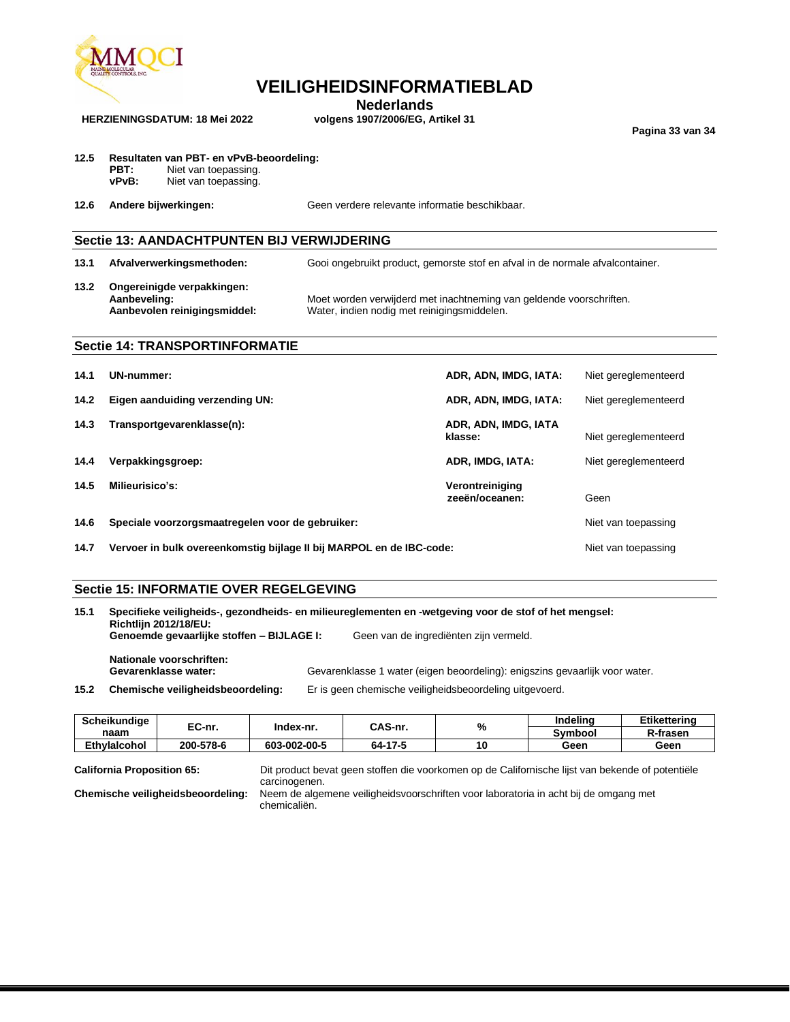

**Nederlands**<br>volgens 1907/2006/EG, Artikel 31

**Pagina 33 van 34**

## **12.5 Resultaten van PBT- en vPvB-beoordeling:**

**PBT:** Niet van toepassing.<br> **vPvB:** Niet van toepassing. Niet van toepassing.

**HERZIENINGSDATUM: 18 Mei 2022** 

**12.6 Andere bijwerkingen:** Geen verdere relevante informatie beschikbaar.

## **Sectie 13: AANDACHTPUNTEN BIJ VERWIJDERING**

**13.1 Afvalverwerkingsmethoden:** Gooi ongebruikt product, gemorste stof en afval in de normale afvalcontainer. **13.2 Ongereinigde verpakkingen: Aanbeveling:** Moet worden verwijderd met inachtneming van geldende voorschriften. Water, indien nodig met reinigingsmiddelen.

## **Sectie 14: TRANSPORTINFORMATIE**

| 14.1 | UN-nummer:                                                           | ADR, ADN, IMDG, IATA:             | Niet gereglementeerd |
|------|----------------------------------------------------------------------|-----------------------------------|----------------------|
| 14.2 | Eigen aanduiding verzending UN:                                      | ADR, ADN, IMDG, IATA:             | Niet gereglementeerd |
| 14.3 | Transportgevarenklasse(n):                                           | ADR, ADN, IMDG, IATA<br>klasse:   | Niet gereglementeerd |
| 14.4 | Verpakkingsgroep:                                                    | ADR. IMDG. IATA:                  | Niet gereglementeerd |
| 14.5 | Milieurisico's:                                                      | Verontreiniging<br>zeeën/oceanen: | Geen                 |
| 14.6 | Speciale voorzorgsmaatregelen voor de gebruiker:                     | Niet van toepassing               |                      |
| 14.7 | Vervoer in bulk overeenkomstig bijlage II bij MARPOL en de IBC-code: | Niet van toepassing               |                      |

## **Sectie 15: INFORMATIE OVER REGELGEVING**

| 15.1 | Specifieke veiligheids-, gezondheids- en milieureglementen en -wetgeving voor de stof of het mengsel:<br><b>Richtlijn 2012/18/EU:</b> |                                                                             |  |  |
|------|---------------------------------------------------------------------------------------------------------------------------------------|-----------------------------------------------------------------------------|--|--|
|      | Genoemde gevaarlijke stoffen - BIJLAGE I:                                                                                             | Geen van de ingrediënten zijn vermeld.                                      |  |  |
|      | Nationale voorschriften:<br>Gevarenklasse water:                                                                                      | Gevarenklasse 1 water (eigen beoordeling): enigszins gevaarlijk voor water. |  |  |
| 15.2 | Chemische veiligheidsbeoordeling:                                                                                                     | Er is geen chemische veiligheidsbeoordeling uitgevoerd.                     |  |  |
|      |                                                                                                                                       |                                                                             |  |  |

| <b>Scheikundiae</b> | EC-nr.    | Index-nr.    | CAS-nr. | $\mathbf{0}$<br>70 | Indeling | Etikettering |
|---------------------|-----------|--------------|---------|--------------------|----------|--------------|
| naam                |           |              |         |                    | Svmbool  | R-frasen     |
| <b>Ethvlaicohol</b> | 200-578-6 | 603-002-00-5 | 64-17-5 | 10                 | Geen     | Geen         |

**California Proposition 65:** Dit product bevat geen stoffen die voorkomen op de Californische lijst van bekende of potentiële carcinogenen.

**Chemische veiligheidsbeoordeling:** Neem de algemene veiligheidsvoorschriften voor laboratoria in acht bij de omgang met chemicaliën.